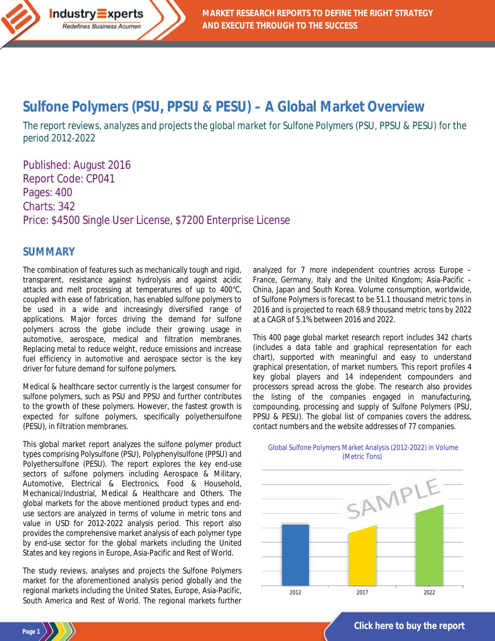# **[Sulfone Polymers \(PSU, PPSU & PESU\)](http://industry-experts.com/verticals/chemicals-and-materials/sulfone-polymers-psu-ppsu-pesu-a-global-market-overview) – A Global Market Overview**

*The report reviews, analyzes and projects the global market for Sulfone Polymers (PSU, PPSU & PESU) for the period 2012-2022*

Published: August 2016 Report Code: CP041 Pages: 400 Charts: 342 Price: \$4500 Single User License, \$7200 Enterprise License

### **SUMMARY**

Industry Experts Redefines Business Acumen

**Page 1**

The combination of features such as mechanically tough and rigid, transparent, resistance against hydrolysis and against acidic attacks and melt processing at temperatures of up to 400°C, coupled with ease of fabrication, has enabled sulfone polymers to be used in a wide and increasingly diversified range of applications. Major forces driving the demand for sulfone polymers across the globe include their growing usage in automotive, aerospace, medical and filtration membranes. Replacing metal to reduce weight, reduce emissions and increase fuel efficiency in automotive and aerospace sector is the key driver for future demand for sulfone polymers.

Medical & healthcare sector currently is the largest consumer for sulfone polymers, such as PSU and PPSU and further contributes to the growth of these polymers. However, the fastest growth is expected for sulfone polymers, specifically polyethersulfone (PESU), in filtration membranes.

This global market report analyzes the sulfone polymer product types comprising Polysulfone (PSU), Polyphenylsulfone (PPSU) and Polyethersulfone (PESU). The report explores the key end-use sectors of sulfone polymers including Aerospace & Military, Automotive, Electrical & Electronics, Food & Household, Mechanical/Industrial, Medical & Healthcare and Others. The global markets for the above mentioned product types and enduse sectors are analyzed in terms of volume in metric tons and value in USD for 2012-2022 analysis period. This report also provides the comprehensive market analysis of each polymer type by end-use sector for the global markets including the United States and key regions in Europe, Asia-Pacific and Rest of World.

The study reviews, analyses and projects the Sulfone Polymers market for the aforementioned analysis period globally and the regional markets including the United States, Europe, Asia-Pacific, South America and Rest of World. The regional markets further analyzed for 7 more independent countries across Europe – France, Germany, Italy and the United Kingdom; Asia-Pacific – China, Japan and South Korea. Volume consumption, worldwide, of Sulfone Polymers is forecast to be 51.1 thousand metric tons in 2016 and is projected to reach 68.9 thousand metric tons by 2022 at a CAGR of 5.1% between 2016 and 2022.

This 400 page global market research report includes 342 charts (includes a data table and graphical representation for each chart), supported with meaningful and easy to understand graphical presentation, of market numbers. This report profiles 4 key global players and 14 independent compounders and processors spread across the globe. The research also provides the listing of the companies engaged in manufacturing, compounding, processing and supply of Sulfone Polymers (PSU, PPSU & PESU). The global list of companies covers the address, contact numbers and the website addresses of 77 companies.



#### Global Sulfone Polymers Market Analysis (2012-2022) in Volume (Metric Tons)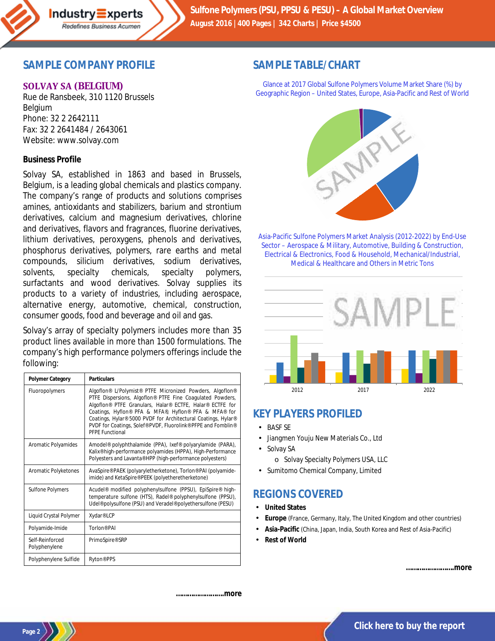

## **SAMPLE COMPANY PROFILE**

#### **SOLVAY SA (BELGIUM)**

Rue de Ransbeek, 310 1120 Brussels Belgium Phone: 32 2 2642111 Fax: 32 2 2641484 / 2643061 Website: www.solvay.com

#### **Business Profile**

Solvay SA, established in 1863 and based in Brussels, Belgium, is a leading global chemicals and plastics company. The company's range of products and solutions comprises amines, antioxidants and stabilizers, barium and strontium derivatives, calcium and magnesium derivatives, chlorine and derivatives, flavors and fragrances, fluorine derivatives, lithium derivatives, peroxygens, phenols and derivatives, phosphorus derivatives, polymers, rare earths and metal compounds, silicium derivatives, sodium derivatives, solvents, specialty chemicals, specialty polymers, surfactants and wood derivatives. Solvay supplies its products to a variety of industries, including aerospace, alternative energy, automotive, chemical, construction, consumer goods, food and beverage and oil and gas.

Solvay's array of specialty polymers includes more than 35 product lines available in more than 1500 formulations. The company's high performance polymers offerings include the following:

| <b>Polymer Category</b>          | <b>Particulars</b>                                                                                                                                                                                                                                                                                                                                                                                    |
|----------------------------------|-------------------------------------------------------------------------------------------------------------------------------------------------------------------------------------------------------------------------------------------------------------------------------------------------------------------------------------------------------------------------------------------------------|
| Fluoropolymers                   | Algoflon® L/Polymist® PTFE Micronized Powders, Algoflon®<br>PTFE Dispersions, Algoflon® PTFE Fine Coagulated Powders,<br>Algoflon® PTFE Granulars, Halar® ECTFE, Halar® ECTFE for<br>Coatings, Hyflon® PFA & MFA®, Hyflon® PFA & MFA® for<br>Coatings, Hylar® 5000 PVDF for Architectural Coatings, Hylar®<br>PVDF for Coatings, Solef® PVDF, Fluorolink® PFPE and Fomblin®<br><b>PFPE Functional</b> |
| Aromatic Polyamides              | Amodel <sup>®</sup> polyphthalamide (PPA), lxef® polyarylamide (PARA),<br>Kalix <sup>®</sup> high-performance polyamides (HPPA), High-Performance<br>Polyesters and Lavanta® HPP (high-performance polyesters)                                                                                                                                                                                        |
| Aromatic Polyketones             | AvaSpire® PAEK (polyaryletherketone), Torlon® PAI (polyamide-<br>imide) and KetaSpire® PEEK (polyetheretherketone)                                                                                                                                                                                                                                                                                    |
| <b>Sulfone Polymers</b>          | Acudel <sup>®</sup> modified polyphenylsulfone (PPSU), EpiSpire® high-<br>temperature sulfone (HTS), Radel® polyphenylsulfone (PPSU),<br>Udel <sup>®</sup> polysulfone (PSU) and Veradel® polyethersulfone (PESU)                                                                                                                                                                                     |
| Liquid Crystal Polymer           | Xydar <sup>®</sup> LCP                                                                                                                                                                                                                                                                                                                                                                                |
| Polyamide-Imide                  | Torlon <sup>®</sup> PAI                                                                                                                                                                                                                                                                                                                                                                               |
| Self-Reinforced<br>Polyphenylene | PrimoSpire® SRP                                                                                                                                                                                                                                                                                                                                                                                       |
| Polyphenylene Sulfide            | Ryton <sup>®</sup> PPS                                                                                                                                                                                                                                                                                                                                                                                |

### **SAMPLE TABLE/CHART**

Glance at 2017 Global Sulfone Polymers Volume Market Share (%) by Geographic Region – United States, Europe, Asia-Pacific and Rest of World



Asia-Pacific Sulfone Polymers Market Analysis (2012-2022) by End-Use Sector – Aerospace & Military, Automotive, Building & Construction, Electrical & Electronics, Food & Household, Mechanical/Industrial, Medical & Healthcare and Others in Metric Tons



# **KEY PLAYERS PROFILED**

- BASF SE
- Jiangmen Youju New Materials Co., Ltd
- Solvay SA
	- o Solvay Specialty Polymers USA, LLC
- Sumitomo Chemical Company, Limited

# **REGIONS COVERED**

- **United States**
- **Europe** (France, Germany, Italy, The United Kingdom and other countries)
- **Asia-Pacific** (China, Japan, India, South Korea and Rest of Asia-Pacific)
- **Rest of World**

*…………………….more*

*…………………….more*

**Page 2**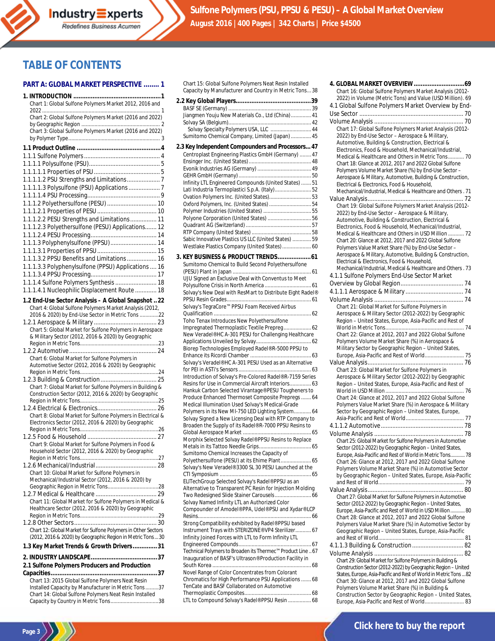

# **TABLE OF CONTENTS**

#### **PART A: GLOBAL MARKET PERSPECTIVE ........ 1**

| Chart 1: Global Sulfone Polymers Market 2012, 2016 and                                                             |
|--------------------------------------------------------------------------------------------------------------------|
|                                                                                                                    |
| Chart 2: Global Sulfone Polymers Market (2016 and 2022)                                                            |
| Chart 3: Global Sulfone Polymers Market (2016 and 2022)                                                            |
|                                                                                                                    |
|                                                                                                                    |
|                                                                                                                    |
|                                                                                                                    |
|                                                                                                                    |
|                                                                                                                    |
|                                                                                                                    |
| 1.1.1.1.3 Polysulfone (PSU) Applications  7                                                                        |
|                                                                                                                    |
| 1.1.1.2 Polyethersulfone (PESU)  10                                                                                |
|                                                                                                                    |
| 1.1.1.2.2 PESU Strengths and Limitations 11                                                                        |
| 1.1.1.2.3 Polyethersulfone (PESU) Applications 12                                                                  |
|                                                                                                                    |
| 1.1.1.3 Polyphenylsulfone (PPSU) 14                                                                                |
|                                                                                                                    |
| 1.1.1.3.2 PPSU Benefits and Limitations  16                                                                        |
| 1.1.1.3.3 Polyphenylsulfone (PPSU) Applications  16                                                                |
|                                                                                                                    |
|                                                                                                                    |
| 1.1.1.4 Sulfone Polymers Synthesis  18                                                                             |
| 1.1.1.4.1 Nucleophilic Displacement Route  18                                                                      |
| 1.2 End-Use Sector Analysis - A Global Snapshot 22                                                                 |
| Chart 4: Global Sulfone Polymers Market Analysis (2012,                                                            |
| 2016 & 2020) by End-Use Sector in Metric Tons 22                                                                   |
|                                                                                                                    |
| Chart 5: Global Market for Sulfone Polymers in Aerospace                                                           |
| & Military Sector (2012, 2016 & 2020) by Geographic                                                                |
|                                                                                                                    |
|                                                                                                                    |
|                                                                                                                    |
| Chart 6: Global Market for Sulfone Polymers in                                                                     |
| Automotive Sector (2012, 2016 & 2020) by Geographic                                                                |
|                                                                                                                    |
|                                                                                                                    |
| Chart 7: Global Market for Sulfone Polymers in Building &<br>Construction Sector (2012, 2016 & 2020) by Geographic |
|                                                                                                                    |
|                                                                                                                    |
| Chart 8: Global Market for Sulfone Polymers in Electrical &                                                        |
| Electronics Sector (2012, 2016 & 2020) by Geographic                                                               |
|                                                                                                                    |
|                                                                                                                    |
| Chart 9: Global Market for Sulfone Polymers in Food &                                                              |
| Household Sector (2012, 2016 & 2020) by Geographic                                                                 |
|                                                                                                                    |
|                                                                                                                    |
| Chart 10: Global Market for Sulfone Polymers in                                                                    |
| Mechanical/Industrial Sector (2012, 2016 & 2020) by                                                                |
|                                                                                                                    |
| Chart 11: Global Market for Sulfone Polymers in Medical &                                                          |
| Healthcare Sector (2012, 2016 & 2020) by Geographic                                                                |
|                                                                                                                    |
|                                                                                                                    |
| Chart 12: Global Market for Sulfone Polymers in Other Sectors                                                      |
| (2012, 2016 & 2020) by Geographic Region in Metric Tons  30                                                        |
| 1.3 Key Market Trends & Growth Drivers31                                                                           |
|                                                                                                                    |
|                                                                                                                    |
| 2.1 Sulfone Polymers Producers and Production                                                                      |
| .<br>Chart 13: 2015 Global Sulfone Polymers Neat Resin                                                             |
| Installed Capacity by Manufacturer in Metric Tons 37                                                               |
| Chart 14: Global Sulfone Polymers Neat Resin Installed                                                             |

Page 3

Chart 15: Global Sulfone Polymers Neat Resin Installed Capacity by Manufacturer and Country in Metric Tons...38

| Jiangmen Youju New Materials Co., Ltd (China) 41                                                              |    |
|---------------------------------------------------------------------------------------------------------------|----|
| Solvay Specialty Polymers USA, LLC  44                                                                        |    |
| Sumitomo Chemical Company, Limited (Japan)  45                                                                |    |
| 2.3 Key Independent Compounders and Processors 47                                                             |    |
| Centroplast Engineering Plastics GmbH (Germany)  47                                                           |    |
|                                                                                                               |    |
|                                                                                                               |    |
|                                                                                                               |    |
| Infinity LTL Engineered Compounds (United States)  51<br>Lati Industria Termoplastici S.p.A. (Italy) 52       |    |
| Ovation Polymers Inc. (United States)53                                                                       |    |
| Oxford Polymers, Inc. (United States)  54                                                                     |    |
| Polymer Industries (United States)  55                                                                        |    |
| Polyone Corporation (United States)  56                                                                       |    |
|                                                                                                               |    |
| Sabic Innovative Plastics US LLC (United States)  59                                                          |    |
| Westlake Plastics Company (United States)  60                                                                 |    |
| 3. KEY BUSINESS & PRODUCT TRENDS 61                                                                           |    |
| Sumitomo Chemical to Build Second Polyethersulfone                                                            |    |
|                                                                                                               |    |
| UJU Signed an Exclusive Deal with Conventus to Meet                                                           |    |
| Solvay's New Deal with ResMart to Distribute Eight Radel®                                                     |    |
|                                                                                                               |    |
| <br>Solvay's TegraCore™ PPSU Foam Received Airbus                                                             |    |
|                                                                                                               |    |
| Toho Tenax Introduces New Polvethersulfone                                                                    |    |
| Impregnated Thermoplastic Textile Prepreg 62<br>New Veradel® HC A-301 PESU for Challenging Healthcare         |    |
|                                                                                                               |    |
| Biorep Technologies Employed Radel® R-5000 PPSU to                                                            |    |
|                                                                                                               |    |
| Solvay's Veradel® HC A-301 PESU Used as an Alternative                                                        |    |
| Introduction of Solvay's Pre-Colored Radel® R-7159 Series                                                     |    |
| Resins for Use in Commercial Aircraft Interiors 63                                                            |    |
| Hankuk Carbon Selected Virantage® PESU Tougheners to                                                          |    |
| Produce Enhanced Thermoset Composite Prepregs  64                                                             |    |
| Medical Illumination Used Solvay's Medical-Grade<br>Polymers in its New MI-750 LED Lighting System 64         |    |
| Solvay Signed a New Licensing Deal with RTP Company to                                                        |    |
| Broaden the Supply of its Radel® R-7000 PPSU Resins to                                                        |    |
|                                                                                                               |    |
| Morphix Selected Solvay Radel® PPSU Resins to Replace                                                         |    |
| Sumitomo Chemical Increases the Capacity of                                                                   |    |
| Polyethersulfone (PESU) at its Ehime Plant 65                                                                 |    |
| Solvay's New Veradel® 3300 SL 30 PESU Launched at the                                                         |    |
|                                                                                                               |    |
| ELITechGroup Selected Solvay's Radel® PPSU as an<br>Alternative to Transparent PC Resin for Injection Molding |    |
| Two Redesigned Slide Stainer Carousels 66                                                                     |    |
| Solvay Named Infinity LTL an Authorized Color                                                                 |    |
| Compounder of Amodel® PPA, Udel® PSU and Xydar® LCP                                                           |    |
| Strong Compatibility exhibited by Radel® PPSU based                                                           |    |
| Instrument Trays with STERIZONE® VP4 Sterilizer 67                                                            |    |
| Infinity Joined Forces with LTL to Form Infinity LTL                                                          |    |
|                                                                                                               |    |
| Technical Polymers to Broaden its Thermec™ Product Line  67                                                   |    |
| Inauguration of BASF's Ultrason® Production Facility in                                                       |    |
| Novel Range of Color Concentrates from Colorant                                                               |    |
| Chromatics for High Performance PSU Applications  68                                                          |    |
| TenCate and BASF Collaborated on Automotive<br>Thermoplastic Compositor                                       | 40 |

Thermoplastic Composites.............................................. 68 LTL to Compound Solvay's Radel® PPSU Resin ..........

| Chart 16: Global Sulfone Polymers Market Analysis (2012-                                                                          |
|-----------------------------------------------------------------------------------------------------------------------------------|
| 2022) in Volume (Metric Tons) and Value (USD Million). 69                                                                         |
| 4.1 Global Sulfone Polymers Market Overview by End-                                                                               |
|                                                                                                                                   |
|                                                                                                                                   |
| Chart 17: Global Sulfone Polymers Market Analysis (2012-                                                                          |
| 2022) by End-Use Sector - Aerospace & Military,                                                                                   |
| Automotive, Building & Construction, Electrical &<br>Electronics, Food & Household, Mechanical/Industrial,                        |
| Medical & Healthcare and Others in Metric Tons 70                                                                                 |
| Chart 18: Glance at 2012, 2017 and 2022 Global Sulfone                                                                            |
| Polymers Volume Market Share (%) by End-Use Sector -                                                                              |
| Aerospace & Military, Automotive, Building & Construction,                                                                        |
| Electrical & Electronics, Food & Household,                                                                                       |
| Mechanical/Industrial, Medical & Healthcare and Others. 71                                                                        |
|                                                                                                                                   |
| Chart 19: Global Sulfone Polymers Market Analysis (2012-<br>2022) by End-Use Sector - Aerospace & Military,                       |
| Automotive, Building & Construction, Electrical &                                                                                 |
| Electronics, Food & Household, Mechanical/Industrial,                                                                             |
| Medical & Healthcare and Others in USD Million  72                                                                                |
| Chart 20: Glance at 2012, 2017 and 2022 Global Sulfone                                                                            |
| Polymers Value Market Share (%) by End-Use Sector -                                                                               |
| Aerospace & Military, Automotive, Building & Construction,                                                                        |
| Electrical & Electronics. Food & Household.<br>Mechanical/Industrial, Medical & Healthcare and Others. 73                         |
| 4.1.1 Sulfone Polymers End-Use Sector Market                                                                                      |
|                                                                                                                                   |
|                                                                                                                                   |
|                                                                                                                                   |
| Chart 21: Global Market for Sulfone Polymers in                                                                                   |
| Aerospace & Military Sector (2012-2022) by Geographic                                                                             |
| Region - United States, Europe, Asia-Pacific and Rest of                                                                          |
|                                                                                                                                   |
| Chart 22: Glance at 2012, 2017 and 2022 Global Sulfone                                                                            |
| Polymers Volume Market Share (%) in Aerospace &<br>Military Sector by Geographic Region - United States,                          |
|                                                                                                                                   |
|                                                                                                                                   |
| Chart 23: Global Market for Sulfone Polymers in                                                                                   |
| Aerospace & Military Sector (2012-2022) by Geographic                                                                             |
| Region - United States, Europe, Asia-Pacific and Rest of                                                                          |
| Chart 24: Glance at 2012, 2017 and 2022 Global Sulfone                                                                            |
| Polymers Value Market Share (%) in Aerospace & Military                                                                           |
| Sector by Geographic Region - United States, Europe,                                                                              |
|                                                                                                                                   |
|                                                                                                                                   |
|                                                                                                                                   |
| Chart 25: Global Market for Sulfone Polymers in Automotive                                                                        |
| Sector (2012-2022) by Geographic Region - United States,                                                                          |
| Europe, Asia-Pacific and Rest of World in Metric Tons 78<br>Chart 26: Glance at 2012, 2017 and 2022 Global Sulfone                |
| Polymers Volume Market Share (%) in Automotive Sector                                                                             |
| by Geographic Region - United States, Europe, Asia-Pacific                                                                        |
|                                                                                                                                   |
|                                                                                                                                   |
| Chart 27: Global Market for Sulfone Polymers in Automotive                                                                        |
| Sector (2012-2022) by Geographic Region - United States,                                                                          |
| Europe, Asia-Pacific and Rest of World in USD Million  80<br>Chart 28: Glance at 2012, 2017 and 2022 Global Sulfone               |
| Polymers Value Market Share (%) in Automotive Sector by                                                                           |
| Geographic Region - United States, Europe, Asia-Pacific                                                                           |
|                                                                                                                                   |
|                                                                                                                                   |
|                                                                                                                                   |
| Chart 29: Global Market for Sulfone Polymers in Building &                                                                        |
| Construction Sector (2012-2022) by Geographic Region - United<br>States, Europe, Asia-Pacific and Rest of World in Metric Tons 82 |
| Chart 30: Glance at 2012, 2017 and 2022 Global Sulfone                                                                            |
| Polymers Volume Market Share (%) in Building &                                                                                    |
| Construction Sector by Geographic Region - United States,                                                                         |
|                                                                                                                                   |

**[Click here to buy the report](http://industry-experts.com/verticals/chemicals-and-materials/sulfone-polymers-psu-ppsu-pesu-a-global-market-overview)**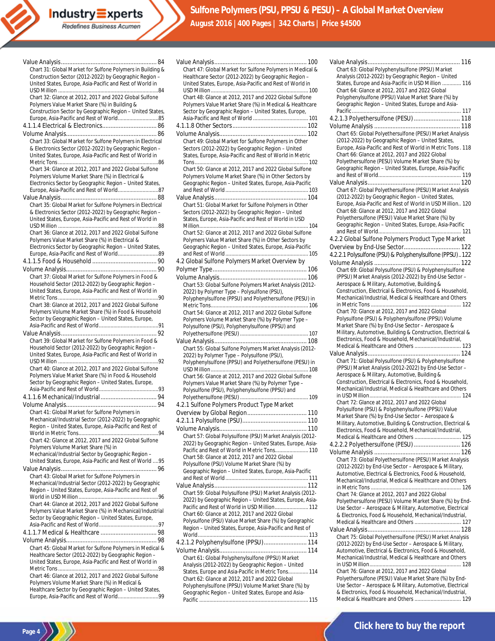| Chart 31: Global Market for Sulfone Polymers in Building &                                                          |
|---------------------------------------------------------------------------------------------------------------------|
| Construction Sector (2012-2022) by Geographic Region -                                                              |
| United States, Europe, Asia-Pacific and Rest of World in                                                            |
| Chart 32: Glance at 2012, 2017 and 2022 Global Sulfone                                                              |
| Polymers Value Market Share (%) in Building &                                                                       |
| Construction Sector by Geographic Region - United States,                                                           |
| Europe, Asia-Pacific and Rest of World85                                                                            |
|                                                                                                                     |
|                                                                                                                     |
| Chart 33: Global Market for Sulfone Polymers in Electrical                                                          |
| & Electronics Sector (2012-2022) by Geographic Region -<br>United States, Europe, Asia-Pacific and Rest of World in |
|                                                                                                                     |
| Chart 34: Glance at 2012, 2017 and 2022 Global Sulfone                                                              |
| Polymers Volume Market Share (%) in Electrical &                                                                    |
| Electronics Sector by Geographic Region - United States,<br>Europe, Asia-Pacific and Rest of World87                |
|                                                                                                                     |
| Chart 35: Global Market for Sulfone Polymers in Electrical                                                          |
| & Electronics Sector (2012-2022) by Geographic Region -                                                             |
| United States, Europe, Asia-Pacific and Rest of World in                                                            |
|                                                                                                                     |
| Chart 36: Glance at 2012, 2017 and 2022 Global Sulfone                                                              |
| Polymers Value Market Share (%) in Electrical &<br>Electronics Sector by Geographic Region - United States,         |
|                                                                                                                     |
|                                                                                                                     |
|                                                                                                                     |
| Chart 37: Global Market for Sulfone Polymers in Food &                                                              |
| Household Sector (2012-2022) by Geographic Region -                                                                 |
| United States, Europe, Asia-Pacific and Rest of World in                                                            |
| Chart 38: Glance at 2012, 2017 and 2022 Global Sulfone                                                              |
| Polymers Volume Market Share (%) in Food & Household                                                                |
| Sector by Geographic Region - United States, Europe,                                                                |
|                                                                                                                     |
|                                                                                                                     |
|                                                                                                                     |
| Chart 39: Global Market for Sulfone Polymers in Food &                                                              |
| Household Sector (2012-2022) by Geographic Region -                                                                 |
| United States, Europe, Asia-Pacific and Rest of World in                                                            |
| Chart 40: Glance at 2012, 2017 and 2022 Global Sulfone                                                              |
| Polymers Value Market Share (%) in Food & Household                                                                 |
| Sector by Geographic Region - United States, Europe,                                                                |
|                                                                                                                     |
|                                                                                                                     |
|                                                                                                                     |
| Chart 41: Global Market for Sulfone Polymers in<br>Mechanical/Industrial Sector (2012-2022) by Geographic           |
| Region - United States, Europe, Asia-Pacific and Rest of                                                            |
|                                                                                                                     |
| Chart 42: Glance at 2012, 2017 and 2022 Global Sulfone                                                              |
| Polymers Volume Market Share (%) in                                                                                 |
| Mechanical/Industrial Sector by Geographic Region -<br>United States, Europe, Asia-Pacific and Rest of World  95    |
|                                                                                                                     |
| Chart 43: Global Market for Sulfone Polymers in                                                                     |
| Mechanical/Industrial Sector (2012-2022) by Geographic                                                              |
| Region - United States, Europe, Asia-Pacific and Rest of                                                            |
| Chart 44: Glance at 2012, 2017 and 2022 Global Sulfone                                                              |
| Polymers Value Market Share (%) in Mechanical/Industrial                                                            |
| Sector by Geographic Region - United States, Europe,                                                                |
|                                                                                                                     |
|                                                                                                                     |
|                                                                                                                     |
| Chart 45: Global Market for Sulfone Polymers in Medical &<br>Healthcare Sector (2012-2022) by Geographic Region -   |
| United States, Europe, Asia-Pacific and Rest of World in                                                            |
|                                                                                                                     |
| Chart 46: Glance at 2012, 2017 and 2022 Global Sulfone                                                              |
| Polymers Volume Market Share (%) in Medical &<br>Healthcare Sector by Geographic Region - United States,            |

**Page 4**

| Chart 47: Global Market for Sulfone Polymers in Medical &                                                              |
|------------------------------------------------------------------------------------------------------------------------|
| Healthcare Sector (2012-2022) by Geographic Region -<br>United States, Europe, Asia-Pacific and Rest of World in       |
| Chart 48: Glance at 2012, 2017 and 2022 Global Sulfone                                                                 |
| Polymers Value Market Share (%) in Medical & Healthcare                                                                |
| Sector by Geographic Region - United States, Europe,                                                                   |
|                                                                                                                        |
| Chart 49: Global Market for Sulfone Polymers in Other                                                                  |
| Sectors (2012-2022) by Geographic Region - United                                                                      |
| States, Europe, Asia-Pacific and Rest of World in Metric                                                               |
| Chart 50: Glance at 2012, 2017 and 2022 Global Sulfone                                                                 |
| Polymers Volume Market Share (%) in Other Sectors by<br>Geographic Region - United States, Europe, Asia-Pacific        |
|                                                                                                                        |
|                                                                                                                        |
| Chart 51: Global Market for Sulfone Polymers in Other                                                                  |
| Sectors (2012-2022) by Geographic Region - United<br>States, Europe, Asia-Pacific and Rest of World in USD             |
|                                                                                                                        |
| Chart 52: Glance at 2012, 2017 and 2022 Global Sulfone<br>Polymers Value Market Share (%) in Other Sectors by          |
| Geographic Region - United States, Europe, Asia-Pacific                                                                |
|                                                                                                                        |
| 4.2 Global Sulfone Polymers Market Overview by                                                                         |
|                                                                                                                        |
| Chart 53: Global Sulfone Polymers Market Analysis (2012-                                                               |
| 2022) by Polymer Type - Polysulfone (PSU),                                                                             |
| Polyphenylsulfone (PPSU) and Polyethersulfone (PESU) in                                                                |
| Chart 54: Glance at 2012, 2017 and 2022 Global Sulfone                                                                 |
| Polymers Volume Market Share (%) by Polymer Type -                                                                     |
| Polysulfone (PSU), Polyphenylsulfone (PPSU) and                                                                        |
|                                                                                                                        |
| Chart 55: Global Sulfone Polymers Market Analysis (2012-                                                               |
| 2022) by Polymer Type - Polysulfone (PSU),<br>Polyphenylsulfone (PPSU) and Polyethersulfone (PESU) in                  |
|                                                                                                                        |
| Chart 56: Glance at 2012, 2017 and 2022 Global Sulfone                                                                 |
| Polymers Value Market Share (%) by Polymer Type -<br>Polysulfone (PSU), Polyphenylsulfone (PPSU) and                   |
|                                                                                                                        |
| 4.2.1 Sulfone Polymers Product Type Market                                                                             |
|                                                                                                                        |
|                                                                                                                        |
| Chart 57: Global Polysulfone (PSU) Market Analysis (2012-                                                              |
| 2022) by Geographic Region - United States, Europe, Asia-                                                              |
| Pacific and Rest of World in Metric Tons 110                                                                           |
| Chart 58: Glance at 2012, 2017 and 2022 Global<br>Polysulfone (PSU) Volume Market Share (%) by                         |
| Geographic Region - United States, Europe, Asia-Pacific                                                                |
|                                                                                                                        |
|                                                                                                                        |
| Chart 59: Global Polysulfone (PSU) Market Analysis (2012-<br>2022) by Geographic Region - United States, Europe, Asia- |
| Pacific and Rest of World in USD Million 112                                                                           |
| Chart 60: Glance at 2012, 2017 and 2022 Global                                                                         |
| Polysulfone (PSU) Value Market Share (%) by Geographic<br>Region - United States, Europe, Asia-Pacific and Rest of     |
|                                                                                                                        |
| 4.2.1.2 Polyphenylsulfone (PPSU) 114                                                                                   |
| Chart 61: Global Polyphenylsulfone (PPSU) Market                                                                       |
| Analysis (2012-2022) by Geographic Region - United                                                                     |
| States, Europe and Asia-Pacific in Metric Tons 114<br>Chart 62: Glance at 2012, 2017 and 2022 Global                   |
| Polyphenylsulfone (PPSU) Volume Market Share (%) by                                                                    |
| Geographic Region - United States, Europe and Asia-                                                                    |
|                                                                                                                        |

| Chart 63: Global Polyphenylsulfone (PPSU) Market                                                                     |
|----------------------------------------------------------------------------------------------------------------------|
| Analysis (2012-2022) by Geographic Region - United                                                                   |
| States, Europe and Asia-Pacific in USD Million  116<br>Chart 64: Glance at 2012, 2017 and 2022 Global                |
| Polyphenylsulfone (PPSU) Value Market Share (%) by                                                                   |
| Geographic Region - United States, Europe and Asia-                                                                  |
|                                                                                                                      |
| 4.2.1.3 Polyethersulfone (PESU)  118                                                                                 |
|                                                                                                                      |
| Chart 65: Global Polyethersulfone (PESU) Market Analysis                                                             |
| (2012-2022) by Geographic Region - United States,                                                                    |
| Europe, Asia-Pacific and Rest of World in Metric Tons. 118                                                           |
| Chart 66: Glance at 2012, 2017 and 2022 Global<br>Polyethersulfone (PESU) Volume Market Share (%) by                 |
| Geographic Region - United States, Europe, Asia-Pacific                                                              |
|                                                                                                                      |
|                                                                                                                      |
| Chart 67: Global Polyethersulfone (PESU) Market Analysis                                                             |
| (2012-2022) by Geographic Region - United States,                                                                    |
| Europe, Asia-Pacific and Rest of World in USD Million 120                                                            |
| Chart 68: Glance at 2012, 2017 and 2022 Global                                                                       |
| Polyethersulfone (PESU) Value Market Share (%) by                                                                    |
| Geographic Region - United States, Europe, Asia-Pacific                                                              |
| 4.2.2 Global Sulfone Polymers Product Type Market                                                                    |
|                                                                                                                      |
| 4.2.2.1 Polysulfone (PSU) & Polyphenylsulfone (PPSU)122                                                              |
|                                                                                                                      |
| Chart 69: Global Polysulfone (PSU) & Polyphenylsulfone                                                               |
| (PPSU) Market Analysis (2012-2022) by End-Use Sector -                                                               |
| Aerospace & Military, Automotive, Building &                                                                         |
| Construction, Electrical & Electronics, Food & Household,                                                            |
| Mechanical/Industrial, Medical & Healthcare and Others                                                               |
|                                                                                                                      |
| Chart 70: Glance at 2012, 2017 and 2022 Global<br>Polysulfone (PSU) & Polyphenylsulfone (PPSU) Volume                |
| Market Share (%) by End-Use Sector - Aerospace &                                                                     |
| Military, Automotive, Building & Construction, Electrical &                                                          |
| Electronics, Food & Household, Mechanical/Industrial,                                                                |
| Medical & Healthcare and Others  123                                                                                 |
|                                                                                                                      |
| Chart 71: Global Polysulfone (PSU) & Polyphenylsulfone<br>(PPSU) Market Analysis (2012-2022) by End-Use Sector -     |
| Aerospace & Military, Automotive, Building &                                                                         |
| Construction, Electrical & Electronics, Food & Household,                                                            |
| Mechanical/Industrial, Medical & Healthcare and Others                                                               |
|                                                                                                                      |
| Chart 72: Glance at 2012, 2017 and 2022 Global                                                                       |
| Polysulfone (PSU) & Polyphenylsulfone (PPSU) Value                                                                   |
| Market Share (%) by End-Use Sector - Aerospace &                                                                     |
| Military, Automotive, Building & Construction, Electrical &<br>Electronics, Food & Household, Mechanical/Industrial, |
| Medical & Healthcare and Others  125                                                                                 |
| 4.2.2.2 Polyethersulfone (PESU)  126                                                                                 |
|                                                                                                                      |
| Chart 73: Global Polyethersulfone (PESU) Market Analysis                                                             |
| (2012-2022) by End-Use Sector - Aerospace & Military,                                                                |
| Automotive, Electrical & Electronics, Food & Household,                                                              |
|                                                                                                                      |
| Mechanical/Industrial, Medical & Healthcare and Others                                                               |
|                                                                                                                      |
| Chart 74: Glance at 2012, 2017 and 2022 Global                                                                       |
| Polyethersulfone (PESU) Volume Market Share (%) by End-<br>Use Sector - Aerospace & Military, Automotive, Electrical |
| & Electronics, Food & Household, Mechanical/Industrial,                                                              |
| Medical & Healthcare and Others  127                                                                                 |
|                                                                                                                      |
| Chart 75: Global Polyethersulfone (PESU) Market Analysis                                                             |
| (2012-2022) by End-Use Sector - Aerospace & Military,                                                                |
| Automotive, Electrical & Electronics, Food & Household,<br>Mechanical/Industrial, Medical & Healthcare and Others    |
|                                                                                                                      |
| Chart 76: Glance at 2012, 2017 and 2022 Global                                                                       |
| Polyethersulfone (PESU) Value Market Share (%) by End-                                                               |
| Use Sector - Aerospace & Military, Automotive, Electrical<br>& Electronics, Food & Household, Mechanical/Industrial, |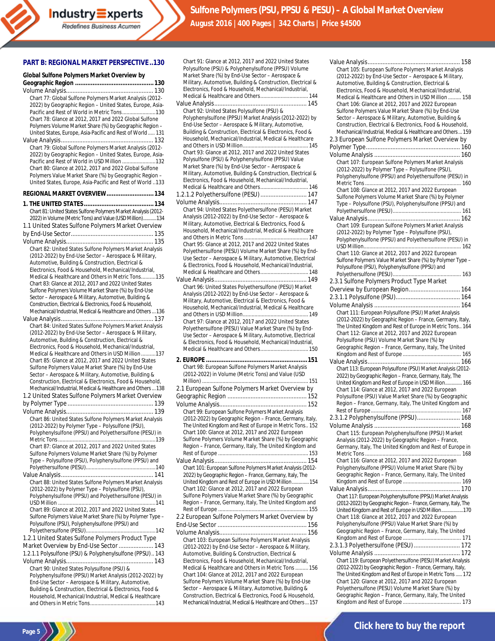#### **PART B: REGIONAL MARKET PERSPECTIVE..130**

| Global Sulfone Polymers Market Overview by                                                                            |
|-----------------------------------------------------------------------------------------------------------------------|
|                                                                                                                       |
| Chart 77: Global Sulfone Polymers Market Analysis (2012-<br>2022) by Geographic Region - United States, Europe, Asia- |
| Pacific and Rest of World in Metric Tons130                                                                           |
| Chart 78: Glance at 2012, 2017 and 2022 Global Sulfone                                                                |
| Polymers Volume Market Share (%) by Geographic Region -<br>United States, Europe, Asia-Pacific and Rest of World  131 |
| Chart 79: Global Sulfone Polymers Market Analysis (2012-                                                              |
| 2022) by Geographic Region - United States, Europe, Asia-                                                             |
| Pacific and Rest of World in USD Million 132                                                                          |
| Chart 80: Glance at 2012, 2017 and 2022 Global Sulfone                                                                |
| Polymers Value Market Share (%) by Geographic Region -<br>United States, Europe, Asia-Pacific and Rest of World 133   |
| REGIONAL MARKET OVERVIEW 134                                                                                          |
|                                                                                                                       |
| Chart 81: United States Sulfone Polymers Market Analysis (2012-                                                       |
| 2022) in Volume (Metric Tons) and Value (USD Million)134<br>1.1 United States Sulfone Polymers Market Overview        |
|                                                                                                                       |
|                                                                                                                       |
| Chart 82: United States Sulfone Polymers Market Analysis                                                              |
| (2012-2022) by End-Use Sector - Aerospace & Military,                                                                 |
| Automotive, Building & Construction, Electrical &<br>Electronics, Food & Household, Mechanical/Industrial,            |
| Medical & Healthcare and Others in Metric Tons135                                                                     |
| Chart 83: Glance at 2012, 2017 and 2022 United States                                                                 |
| Sulfone Polymers Volume Market Share (%) by End-Use                                                                   |
| Sector - Aerospace & Military, Automotive, Building &<br>Construction, Electrical & Electronics, Food & Household,    |
| Mechanical/Industrial, Medical & Healthcare and Others  136                                                           |
|                                                                                                                       |
| Chart 84: United States Sulfone Polymers Market Analysis                                                              |
| (2012-2022) by End-Use Sector - Aerospace & Military,                                                                 |
| Automotive, Building & Construction, Electrical &<br>Electronics, Food & Household, Mechanical/Industrial,            |
| Medical & Healthcare and Others in USD Million  137                                                                   |
| Chart 85: Glance at 2012, 2017 and 2022 United States                                                                 |
| Sulfone Polymers Value Market Share (%) by End-Use<br>Sector - Aerospace & Military, Automotive, Building &           |
| Construction, Electrical & Electronics, Food & Household,                                                             |
| Mechanical/Industrial, Medical & Healthcare and Others  138                                                           |
| 1.2 United States Sulfone Polymers Market Overview                                                                    |
|                                                                                                                       |
| Chart 86: United States Sulfone Polymers Market Analysis                                                              |
| (2012-2022) by Polymer Type - Polysulfone (PSU),                                                                      |
| Polyphenylsulfone (PPSU) and Polyethersulfone (PESU) in                                                               |
| Chart 87: Glance at 2012, 2017 and 2022 United States                                                                 |
| Sulfone Polymers Volume Market Share (%) by Polymer                                                                   |
| Type - Polysulfone (PSU), Polyphenylsulfone (PPSU) and                                                                |
|                                                                                                                       |
| Chart 88: United States Sulfone Polymers Market Analysis                                                              |
| (2012-2022) by Polymer Type - Polysulfone (PSU),                                                                      |
| Polyphenylsulfone (PPSU) and Polyethersulfone (PESU) in                                                               |
| Chart 89: Glance at 2012, 2017 and 2022 United States                                                                 |
| Sulfone Polymers Value Market Share (%) by Polymer Type -                                                             |
| Polysulfone (PSU), Polyphenylsulfone (PPSU) and                                                                       |
| 1.2.1 United States Sulfone Polymers Product Type                                                                     |
| Market Overview by End-Use Sector  143                                                                                |
| 1.2.1.1 Polysulfone (PSU) & Polyphenylsulfone (PPSU) 143                                                              |
|                                                                                                                       |
| Chart 90: United States Polysulfone (PSU) &                                                                           |
| Polyphenylsulfone (PPSU) Market Analysis (2012-2022) by<br>End-Use Sector - Aerospace & Military, Automotive,         |
| Building & Construction, Electrical & Electronics, Food &                                                             |
| Household, Mechanical/Industrial, Medical & Healthcare                                                                |
|                                                                                                                       |

**Page 5**

| Polysulfone (PSU) & Polyphenylsulfone (PPSU) Volume                                                                  |
|----------------------------------------------------------------------------------------------------------------------|
| Market Share (%) by End-Use Sector - Aerospace &                                                                     |
| Military, Automotive, Building & Construction, Electrical &<br>Electronics, Food & Household, Mechanical/Industrial, |
| Medical & Healthcare and Others 144                                                                                  |
|                                                                                                                      |
| Chart 92: United States Polysulfone (PSU) &                                                                          |
| Polyphenylsulfone (PPSU) Market Analysis (2012-2022) by                                                              |
| End-Use Sector - Aerospace & Military, Automotive,                                                                   |
| Building & Construction, Electrical & Electronics, Food &<br>Household, Mechanical/Industrial, Medical & Healthcare  |
|                                                                                                                      |
| Chart 93: Glance at 2012, 2017 and 2022 United States                                                                |
| Polysulfone (PSU) & Polyphenylsulfone (PPSU) Value                                                                   |
| Market Share (%) by End-Use Sector - Aerospace &                                                                     |
| Military, Automotive, Building & Construction, Electrical &                                                          |
| Electronics, Food & Household, Mechanical/Industrial,<br>Medical & Healthcare and Others 146                         |
| 1.2.1.2 Polyethersulfone (PESU)  147                                                                                 |
|                                                                                                                      |
| Chart 94: United States Polyethersulfone (PESU) Market                                                               |
| Analysis (2012-2022) by End-Use Sector - Aerospace &                                                                 |
| Military, Automotive, Electrical & Electronics, Food &                                                               |
| Household, Mechanical/Industrial, Medical & Healthcare                                                               |
|                                                                                                                      |
| Chart 95: Glance at 2012, 2017 and 2022 United States<br>Polyethersulfone (PESU) Volume Market Share (%) by End-     |
| Use Sector - Aerospace & Military, Automotive, Electrical                                                            |
| & Electronics, Food & Household, Mechanical/Industrial,                                                              |
| Medical & Healthcare and Others 148                                                                                  |
|                                                                                                                      |
| Chart 96: United States Polyethersulfone (PESU) Market                                                               |
| Analysis (2012-2022) by End-Use Sector - Aerospace &<br>Military, Automotive, Electrical & Electronics, Food &       |
| Household, Mechanical/Industrial, Medical & Healthcare                                                               |
|                                                                                                                      |
| Chart 97: Glance at 2012, 2017 and 2022 United States                                                                |
| Polyethersulfone (PESU) Value Market Share (%) by End-                                                               |
|                                                                                                                      |
| Use Sector - Aerospace & Military, Automotive, Electrical                                                            |
| & Electronics, Food & Household, Mechanical/Industrial,                                                              |
| Medical & Healthcare and Others 150                                                                                  |
|                                                                                                                      |
| Chart 98: European Sulfone Polymers Market Analysis                                                                  |
| (2012-2022) in Volume (Metric Tons) and Value (USD                                                                   |
|                                                                                                                      |
| 2.1 European Sulfone Polymers Market Overview by                                                                     |
|                                                                                                                      |
| Chart 99: European Sulfone Polymers Market Analysis                                                                  |
| (2012-2022) by Geographic Region - France, Germany, Italy,                                                           |
| The United Kingdom and Rest of Europe in Metric Tons 152                                                             |
| Chart 100: Glance at 2012, 2017 and 2022 European                                                                    |
| Sulfone Polymers Volume Market Share (%) by Geographic                                                               |
| Region - France, Germany, Italy, The United Kingdom and                                                              |
|                                                                                                                      |
| Chart 101: European Sulfone Polymers Market Analysis (2012-                                                          |
| 2022) by Geographic Region - France, Germany, Italy, The                                                             |
| United Kingdom and Rest of Europe in USD Million  154                                                                |
| Chart 102: Glance at 2012, 2017 and 2022 European                                                                    |
| Sulfone Polymers Value Market Share (%) by Geographic                                                                |
| Region - France, Germany, Italy, The United Kingdom and                                                              |
| 2.2 European Sulfone Polymers Market Overview by                                                                     |
|                                                                                                                      |
|                                                                                                                      |
| Chart 103: European Sulfone Polymers Market Analysis                                                                 |
| (2012-2022) by End-Use Sector - Aerospace & Military,                                                                |
| Automotive, Building & Construction, Electrical &                                                                    |
| Electronics, Food & Household, Mechanical/Industrial,                                                                |
| Medical & Healthcare and Others in Metric Tons  156                                                                  |
| Chart 104: Glance at 2012, 2017 and 2022 European<br>Sulfone Polymers Volume Market Share (%) by End-Use             |
| Sector - Aerospace & Military, Automotive, Building &<br>Construction, Electrical & Electronics, Food & Household,   |

Mechanical/Industrial, Medical & Healthcare and Others...157

Chart 91: Glance at 2012, 2017 and 2022 United States

| Chart 105: European Sulfone Polymers Market Analysis           |
|----------------------------------------------------------------|
| (2012-2022) by End-Use Sector - Aerospace & Military,          |
| Automotive, Building & Construction, Electrical &              |
| Electronics, Food & Household, Mechanical/Industrial,          |
| Medical & Healthcare and Others in USD Million  158            |
| Chart 106: Glance at 2012, 2017 and 2022 European              |
| Sulfone Polymers Value Market Share (%) by End-Use             |
| Sector - Aerospace & Military, Automotive, Building &          |
| Construction, Electrical & Electronics, Food & Household,      |
| Mechanical/Industrial, Medical & Healthcare and Others 159     |
| 2.3 European Sulfone Polymers Market Overview by               |
|                                                                |
|                                                                |
|                                                                |
| Chart 107: European Sulfone Polymers Market Analysis           |
| (2012-2022) by Polymer Type - Polysulfone (PSU),               |
| Polyphenylsulfone (PPSU) and Polyethersulfone (PESU) in        |
|                                                                |
| Chart 108: Glance at 2012, 2017 and 2022 European              |
| Sulfone Polymers Volume Market Share (%) by Polymer            |
| Type - Polysulfone (PSU), Polyphenylsulfone (PPSU) and         |
|                                                                |
|                                                                |
|                                                                |
| Chart 109: European Sulfone Polymers Market Analysis           |
| (2012-2022) by Polymer Type - Polysulfone (PSU),               |
| Polyphenylsulfone (PPSU) and Polyethersulfone (PESU) in        |
|                                                                |
| Chart 110: Glance at 2012, 2017 and 2022 European              |
| Sulfone Polymers Value Market Share (%) by Polymer Type -      |
| Polysulfone (PSU), Polyphenylsulfone (PPSU) and                |
|                                                                |
| 2.3.1 Sulfone Polymers Product Type Market                     |
|                                                                |
| Overview by European Region 164                                |
|                                                                |
|                                                                |
| Chart 111: European Polysulfone (PSU) Market Analysis          |
| (2012-2022) by Geographic Region - France, Germany, Italy,     |
| The United Kingdom and Rest of Europe in Metric Tons 164       |
| Chart 112: Glance at 2012, 2017 and 2022 European              |
|                                                                |
|                                                                |
| Polysulfone (PSU) Volume Market Share (%) by                   |
| Geographic Region - France, Germany, Italy, The United         |
|                                                                |
|                                                                |
| Chart 113: European Polysulfone (PSU) Market Analysis (2012-   |
| 2022) by Geographic Region - France, Germany, Italy, The       |
|                                                                |
| United Kingdom and Rest of Europe in USD Million 166           |
| Chart 114: Glance at 2012, 2017 and 2022 European              |
| Polysulfone (PSU) Value Market Share (%) by Geographic         |
| Region - France, Germany, Italy, The United Kingdom and        |
|                                                                |
| 2.3.1.2 Polyphenylsulfone (PPSU) 168                           |
|                                                                |
| Chart 115: European Polyphenylsulfone (PPSU) Market            |
| Analysis (2012-2022) by Geographic Region - France,            |
|                                                                |
| Germany, Italy, The United Kingdom and Rest of Europe in       |
|                                                                |
| Chart 116: Glance at 2012, 2017 and 2022 European              |
| Polyphenylsulfone (PPSU) Volume Market Share (%) by            |
| Geographic Region - France, Germany, Italy, The United         |
|                                                                |
|                                                                |
| Chart 117: European Polyphenylsulfone (PPSU) Market Analysis   |
| (2012-2022) by Geographic Region - France, Germany, Italy, The |
| United Kingdom and Rest of Europe in USD Million170            |
| Chart 118: Glance at 2012, 2017 and 2022 European              |
| Polyphenylsulfone (PPSU) Value Market Share (%) by             |
|                                                                |
| Geographic Region - France, Germany, Italy, The United         |
|                                                                |
| 2.3.1.3 Polyethersulfone (PESU)  172                           |
|                                                                |
| Chart 119: European Polyethersulfone (PESU) Market Analysis    |
| (2012-2022) by Geographic Region - France, Germany, Italy,     |
| The United Kingdom and Rest of Europe in Metric Tons  172      |
| Chart 120: Glance at 2012, 2017 and 2022 European              |
| Polyethersulfone (PESU) Volume Market Share (%) by             |
| Geographic Region - France, Germany, Italy, The United         |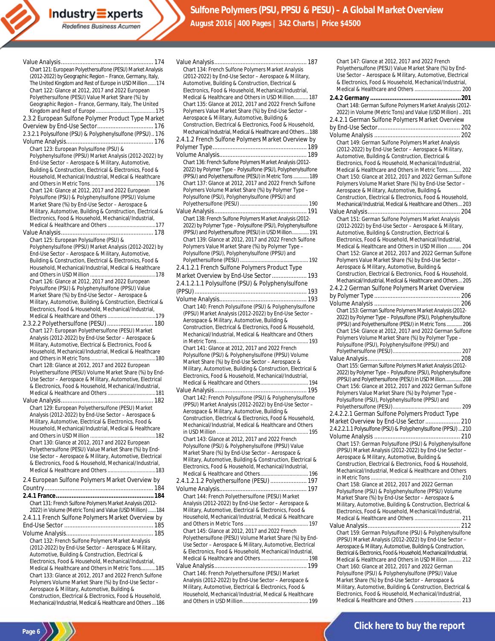Industry Experts Redefines Business Acumen

**Sulfone Polymers (PSU, PPSU & PESU) – A Global Market Overview August 2016 |400 Pages | 342 Charts | Price \$4500**

| Chart 121: European Polyethersulfone (PESU) Market Analysis<br>(2012-2022) by Geographic Region - France, Germany, Italy,<br>The United Kingdom and Rest of Europe in USD Million  174<br>Chart 122: Glance at 2012, 2017 and 2022 European<br>Polyethersulfone (PESU) Value Market Share (%) by<br>Geographic Region - France, Germany, Italy, The United |        |
|------------------------------------------------------------------------------------------------------------------------------------------------------------------------------------------------------------------------------------------------------------------------------------------------------------------------------------------------------------|--------|
| 2.3.2 European Sulfone Polymer Product Type Market<br>2.3.2.1 Polysulfone (PSU) & Polyphenylsulfone (PPSU) 176                                                                                                                                                                                                                                             |        |
|                                                                                                                                                                                                                                                                                                                                                            | 2      |
| Chart 123: European Polysulfone (PSU) &                                                                                                                                                                                                                                                                                                                    | P      |
| Polyphenylsulfone (PPSU) Market Analysis (2012-2022) by<br>End-Use Sector - Aerospace & Military, Automotive,<br>Building & Construction, Electrical & Electronics, Food &<br>Household, Mechanical/Industrial, Medical & Healthcare                                                                                                                       | V      |
| Chart 124: Glance at 2012, 2017 and 2022 European                                                                                                                                                                                                                                                                                                          |        |
| Polysulfone (PSU) & Polyphenylsulfone (PPSU) Volume                                                                                                                                                                                                                                                                                                        |        |
| Market Share (%) by End-Use Sector - Aerospace &<br>Military, Automotive, Building & Construction, Electrical &                                                                                                                                                                                                                                            |        |
| Electronics, Food & Household, Mechanical/Industrial,                                                                                                                                                                                                                                                                                                      |        |
|                                                                                                                                                                                                                                                                                                                                                            |        |
|                                                                                                                                                                                                                                                                                                                                                            |        |
| Chart 125: European Polysulfone (PSU) &<br>Polyphenylsulfone (PPSU) Market Analysis (2012-2022) by                                                                                                                                                                                                                                                         |        |
| End-Use Sector - Aerospace & Military, Automotive,                                                                                                                                                                                                                                                                                                         |        |
| Building & Construction, Electrical & Electronics, Food &                                                                                                                                                                                                                                                                                                  |        |
| Household, Mechanical/Industrial, Medical & Healthcare                                                                                                                                                                                                                                                                                                     | 2      |
| Chart 126: Glance at 2012, 2017 and 2022 European                                                                                                                                                                                                                                                                                                          | Ν      |
| Polysulfone (PSU) & Polyphenylsulfone (PPSU) Value                                                                                                                                                                                                                                                                                                         | 2      |
| Market Share (%) by End-Use Sector - Aerospace &                                                                                                                                                                                                                                                                                                           | (<br>V |
| Military, Automotive, Building & Construction, Electrical &                                                                                                                                                                                                                                                                                                |        |
| Electronics, Food & Household, Mechanical/Industrial,                                                                                                                                                                                                                                                                                                      |        |
| 2.3.2.2 Polyethersulfone (PESU)  180                                                                                                                                                                                                                                                                                                                       |        |
| Chart 127: European Polyethersulfone (PESU) Market                                                                                                                                                                                                                                                                                                         |        |
| Analysis (2012-2022) by End-Use Sector - Aerospace &                                                                                                                                                                                                                                                                                                       |        |
| Military, Automotive, Electrical & Electronics, Food &<br>Household, Mechanical/Industrial, Medical & Healthcare                                                                                                                                                                                                                                           |        |
|                                                                                                                                                                                                                                                                                                                                                            |        |
| Chart 128: Glance at 2012, 2017 and 2022 European<br>Polyethersulfone (PESU) Volume Market Share (%) by End-                                                                                                                                                                                                                                               |        |
| Use Sector - Aerospace & Military, Automotive, Electrical                                                                                                                                                                                                                                                                                                  |        |
| & Electronics, Food & Household, Mechanical/Industrial,                                                                                                                                                                                                                                                                                                    |        |
|                                                                                                                                                                                                                                                                                                                                                            | V      |
|                                                                                                                                                                                                                                                                                                                                                            |        |
| Chart 129: European Polyethersulfone (PESU) Market<br>Analysis (2012-2022) by End-Use Sector - Aerospace &<br>Military, Automotive, Electrical & Electronics, Food &                                                                                                                                                                                       |        |
| Household, Mechanical/Industrial, Medical & Healthcare                                                                                                                                                                                                                                                                                                     |        |
| Chart 130: Glance at 2012, 2017 and 2022 European                                                                                                                                                                                                                                                                                                          |        |
| Polyethersulfone (PESU) Value Market Share (%) by End-                                                                                                                                                                                                                                                                                                     |        |
| Use Sector - Aerospace & Military, Automotive, Electrical                                                                                                                                                                                                                                                                                                  |        |
| & Electronics, Food & Household, Mechanical/Industrial,                                                                                                                                                                                                                                                                                                    |        |
|                                                                                                                                                                                                                                                                                                                                                            |        |
| 2.4 European Sulfone Polymers Market Overview by                                                                                                                                                                                                                                                                                                           | 2      |
|                                                                                                                                                                                                                                                                                                                                                            |        |
| Chart 131: French Sulfone Polymers Market Analysis (2012-                                                                                                                                                                                                                                                                                                  |        |
| 2022) in Volume (Metric Tons) and Value (USD Million)  184                                                                                                                                                                                                                                                                                                 |        |
| 2.4.1.1 French Sulfone Polymers Market Overview by                                                                                                                                                                                                                                                                                                         |        |
|                                                                                                                                                                                                                                                                                                                                                            |        |
|                                                                                                                                                                                                                                                                                                                                                            |        |
| Chart 132: French Sulfone Polymers Market Analysis                                                                                                                                                                                                                                                                                                         |        |
| (2012-2022) by End-Use Sector - Aerospace & Military,<br>Automotive, Building & Construction, Electrical &                                                                                                                                                                                                                                                 |        |
| Electronics, Food & Household, Mechanical/Industrial,                                                                                                                                                                                                                                                                                                      |        |
| Medical & Healthcare and Others in Metric Tons185                                                                                                                                                                                                                                                                                                          |        |
| Chart 133: Glance at 2012, 2017 and 2022 French Sulfone                                                                                                                                                                                                                                                                                                    |        |
| Polymers Volume Market Share (%) by End-Use Sector -<br>Aerospace & Military, Automotive, Building &                                                                                                                                                                                                                                                       |        |
| Construction, Electrical & Electronics, Food & Household,                                                                                                                                                                                                                                                                                                  |        |
| Mechanical/Industrial, Medical & Healthcare and Others  186                                                                                                                                                                                                                                                                                                |        |

**Page 6**

| Chart 134: French Sulfone Polymers Market Analysis                                                                    |
|-----------------------------------------------------------------------------------------------------------------------|
| (2012-2022) by End-Use Sector - Aerospace & Military,<br>Automotive, Building & Construction, Electrical &            |
| Electronics, Food & Household, Mechanical/Industrial,                                                                 |
| Medical & Healthcare and Others in USD Million 187                                                                    |
| Chart 135: Glance at 2012, 2017 and 2022 French Sulfone                                                               |
| Polymers Value Market Share (%) by End-Use Sector -<br>Aerospace & Military, Automotive, Building &                   |
| Construction, Electrical & Electronics, Food & Household,                                                             |
| Mechanical/Industrial, Medical & Healthcare and Others  188                                                           |
| 2.4.1.2 French Sulfone Polymers Market Overview by                                                                    |
|                                                                                                                       |
| Chart 136: French Sulfone Polymers Market Analysis (2012-                                                             |
| 2022) by Polymer Type - Polysulfone (PSU), Polyphenylsulfone                                                          |
| (PPSU) and Polyethersulfone (PESU) in Metric Tons  189                                                                |
| Chart 137: Glance at 2012, 2017 and 2022 French Sulfone                                                               |
| Polymers Volume Market Share (%) by Polymer Type -<br>Polysulfone (PSU), Polyphenylsulfone (PPSU) and                 |
|                                                                                                                       |
|                                                                                                                       |
| Chart 138: French Sulfone Polymers Market Analysis (2012-                                                             |
| 2022) by Polymer Type - Polysulfone (PSU), Polyphenylsulfone<br>(PPSU) and Polyethersulfone (PESU) in USD Million 191 |
| Chart 139: Glance at 2012, 2017 and 2022 French Sulfone                                                               |
| Polymers Value Market Share (%) by Polymer Type -                                                                     |
| Polysulfone (PSU), Polyphenylsulfone (PPSU) and                                                                       |
| 2.4.1.2.1 French Sulfone Polymers Product Type                                                                        |
| Market Overview by End-Use Sector  193                                                                                |
| 2.4.1.2.1.1 Polysulfone (PSU) & Polyphenylsulfone                                                                     |
|                                                                                                                       |
|                                                                                                                       |
| Chart 140: French Polysulfone (PSU) & Polyphenylsulfone                                                               |
| (PPSU) Market Analysis (2012-2022) by End-Use Sector -<br>Aerospace & Military, Automotive, Building &                |
| Construction, Electrical & Electronics, Food & Household,                                                             |
| Mechanical/Industrial, Medical & Healthcare and Others                                                                |
|                                                                                                                       |
| Chart 141: Glance at 2012, 2017 and 2022 French<br>Polysulfone (PSU) & Polyphenylsulfone (PPSU) Volume                |
| Market Share (%) by End-Use Sector - Aerospace &                                                                      |
| Military, Automotive, Building & Construction, Electrical &                                                           |
| Electronics, Food & Household, Mechanical/Industrial,<br>Medical & Healthcare and Others 194                          |
|                                                                                                                       |
| Chart 142: French Polysulfone (PSU) & Polyphenylsulfone                                                               |
| (PPSU) Market Analysis (2012-2022) by End-Use Sector -                                                                |
| Aerospace & Military, Automotive, Building &<br>Construction, Electrical & Electronics, Food & Household,             |
| Mechanical/Industrial, Medical & Healthcare and Others                                                                |
|                                                                                                                       |
| Chart 143: Glance at 2012, 2017 and 2022 French                                                                       |
| Polysulfone (PSU) & Polyphenylsulfone (PPSU) Value<br>Market Share (%) by End-Use Sector - Aerospace &                |
| Military, Automotive, Building & Construction, Electrical &                                                           |
| Electronics, Food & Household, Mechanical/Industrial,                                                                 |
| Medical & Healthcare and Others 196                                                                                   |
| 2.4.1.2.1.2 Polyethersulfone (PESU)  197                                                                              |
| Chart 144: French Polvethersulfone (PESU) Market                                                                      |
| Analysis (2012-2022) by End-Use Sector - Aerospace &                                                                  |
| Military, Automotive, Electrical & Electronics, Food &                                                                |
| Household, Mechanical/Industrial, Medical & Healthcare                                                                |
| Chart 145: Glance at 2012, 2017 and 2022 French                                                                       |
| Polyethersulfone (PESU) Volume Market Share (%) by End-                                                               |
| Use Sector - Aerospace & Military, Automotive, Electrical                                                             |
| & Electronics, Food & Household, Mechanical/Industrial,                                                               |
|                                                                                                                       |
| Chart 146: French Polyethersulfone (PESU) Market                                                                      |
| Analysis (2012-2022) by End-Use Sector - Aerospace &                                                                  |
| Military, Automotive, Electrical & Electronics, Food &                                                                |

Household, Mechanical/Industrial, Medical & Healthcare and Others in USD Million............................................. 199

| Chart 147: Glance at 2012, 2017 and 2022 French                                                                       |
|-----------------------------------------------------------------------------------------------------------------------|
| Polyethersulfone (PESU) Value Market Share (%) by End-<br>Use Sector - Aerospace & Military, Automotive, Electrical   |
| & Electronics, Food & Household, Mechanical/Industrial,                                                               |
| Medical & Healthcare and Others  200                                                                                  |
|                                                                                                                       |
| Chart 148: German Sulfone Polymers Market Analysis (2012-                                                             |
| 2022) in Volume (Metric Tons) and Value (USD Million)  201                                                            |
| 2.4.2.1 German Sulfone Polymers Market Overview                                                                       |
|                                                                                                                       |
| Chart 149: German Sulfone Polymers Market Analysis                                                                    |
| (2012-2022) by End-Use Sector - Aerospace & Military,                                                                 |
| Automotive, Building & Construction, Electrical &                                                                     |
| Electronics, Food & Household, Mechanical/Industrial,                                                                 |
| Medical & Healthcare and Others in Metric Tons 202<br>Chart 150: Glance at 2012, 2017 and 2022 German Sulfone         |
| Polymers Volume Market Share (%) by End-Use Sector -                                                                  |
| Aerospace & Military, Automotive, Building &                                                                          |
| Construction, Electrical & Electronics, Food & Household,                                                             |
| Mechanical/Industrial, Medical & Healthcare and Others 203                                                            |
| Chart 151: German Sulfone Polymers Market Analysis                                                                    |
| (2012-2022) by End-Use Sector - Aerospace & Military,                                                                 |
| Automotive, Building & Construction, Electrical &                                                                     |
| Electronics, Food & Household, Mechanical/Industrial,                                                                 |
| Medical & Healthcare and Others in USD Million  204<br>Chart 152: Glance at 2012, 2017 and 2022 German Sulfone        |
| Polymers Value Market Share (%) by End-Use Sector -                                                                   |
| Aerospace & Military, Automotive, Building &                                                                          |
| Construction, Electrical & Electronics, Food & Household,                                                             |
| Mechanical/Industrial, Medical & Healthcare and Others 205<br>2.4.2.2 German Sulfone Polymers Market Overview         |
|                                                                                                                       |
|                                                                                                                       |
| Chart 153: German Sulfone Polymers Market Analysis (2012-                                                             |
| 2022) by Polymer Type - Polysulfone (PSU), Polyphenylsulfone                                                          |
| (PPSU) and Polyethersulfone (PESU) in Metric Tons  206                                                                |
|                                                                                                                       |
| Chart 154: Glance at 2012, 2017 and 2022 German Sulfone                                                               |
| Polymers Volume Market Share (%) by Polymer Type -<br>Polysulfone (PSU), Polyphenylsulfone (PPSU) and                 |
|                                                                                                                       |
|                                                                                                                       |
| Chart 155: German Sulfone Polymers Market Analysis (2012-                                                             |
| 2022) by Polymer Type - Polysulfone (PSU), Polyphenylsulfone<br>(PPSU) and Polyethersulfone (PESU) in USD Million 208 |
| Chart 156: Glance at 2012, 2017 and 2022 German Sulfone                                                               |
| Polymers Value Market Share (%) by Polymer Type -                                                                     |
| Polysulfone (PSU), Polyphenylsulfone (PPSU) and                                                                       |
| 2.4.2.2.1 German Sulfone Polymers Product Type                                                                        |
| Market Overview by End-Use Sector<br>210                                                                              |
| 2.4.2.2.1.1 Polysulfone (PSU) & Polyphenylsulfone (PPSU) 210                                                          |
|                                                                                                                       |
| Chart 157: German Polysulfone (PSU) & Polyphenylsulfone<br>(PPSU) Market Analysis (2012-2022) by End-Use Sector -     |
| Aerospace & Military, Automotive, Building &                                                                          |
| Construction, Electrical & Electronics, Food & Household,                                                             |
| Mechanical/Industrial, Medical & Healthcare and Others                                                                |
| Chart 158: Glance at 2012, 2017 and 2022 German                                                                       |
| Polysulfone (PSU) & Polyphenylsulfone (PPSU) Volume                                                                   |
| Market Share (%) by End-Use Sector - Aerospace &                                                                      |
| Military, Automotive, Building & Construction, Electrical &<br>Electronics, Food & Household, Mechanical/Industrial,  |
|                                                                                                                       |
|                                                                                                                       |
| Chart 159: German Polysulfone (PSU) & Polyphenylsulfone                                                               |
| (PPSU) Market Analysis (2012-2022) by End-Use Sector -<br>Aerospace & Military, Automotive, Building & Construction,  |
| Electrical & Electronics, Food & Household, Mechanical/Industrial,                                                    |
| Medical & Healthcare and Others in USD Million  212                                                                   |
| Chart 160: Glance at 2012, 2017 and 2022 German<br>Polysulfone (PSU) & Polyphenylsulfone (PPSU) Value                 |
| Market Share (%) by End-Use Sector - Aerospace &                                                                      |
| Military, Automotive, Building & Construction, Electrical &<br>Electronics, Food & Household, Mechanical/Industrial,  |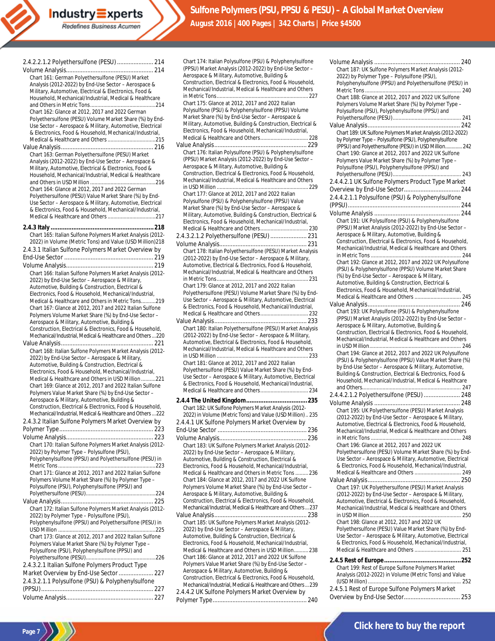| 2.4.2.2.1.2 Polyethersulfone (PESU)  214                                                                             |
|----------------------------------------------------------------------------------------------------------------------|
|                                                                                                                      |
|                                                                                                                      |
| Chart 161: German Polyethersulfone (PESU) Market                                                                     |
| Analysis (2012-2022) by End-Use Sector - Aerospace &                                                                 |
| Military, Automotive, Electrical & Electronics, Food &                                                               |
| Household, Mechanical/Industrial, Medical & Healthcare                                                               |
|                                                                                                                      |
| Chart 162: Glance at 2012, 2017 and 2022 German                                                                      |
| Polyethersulfone (PESU) Volume Market Share (%) by End-                                                              |
| Use Sector - Aerospace & Military, Automotive, Electrical<br>& Electronics, Food & Household, Mechanical/Industrial, |
|                                                                                                                      |
|                                                                                                                      |
| Chart 163: German Polyethersulfone (PESU) Market                                                                     |
| Analysis (2012-2022) by End-Use Sector - Aerospace &                                                                 |
| Military, Automotive, Electrical & Electronics, Food &                                                               |
| Household, Mechanical/Industrial, Medical & Healthcare                                                               |
|                                                                                                                      |
| Chart 164: Glance at 2012, 2017 and 2022 German                                                                      |
| Polyethersulfone (PESU) Value Market Share (%) by End-                                                               |
| Use Sector - Aerospace & Military, Automotive, Electrical                                                            |
| & Electronics, Food & Household, Mechanical/Industrial,                                                              |
|                                                                                                                      |
|                                                                                                                      |
|                                                                                                                      |
| Chart 165: Italian Sulfone Polymers Market Analysis (2012-                                                           |
| 2022) in Volume (Metric Tons) and Value (USD Million) 218                                                            |
| 2.4.3.1 Italian Sulfone Polymers Market Overview by                                                                  |
|                                                                                                                      |
|                                                                                                                      |
| Chart 166: Italian Sulfone Polymers Market Analysis (2012-                                                           |
| 2022) by End-Use Sector - Aerospace & Military,                                                                      |
| Automotive, Building & Construction, Electrical &                                                                    |
| Electronics, Food & Household, Mechanical/Industrial,                                                                |
| Medical & Healthcare and Others in Metric Tons219                                                                    |
| Chart 167: Glance at 2012, 2017 and 2022 Italian Sulfone                                                             |
| Polymers Volume Market Share (%) by End-Use Sector -                                                                 |
| Aerospace & Military, Automotive, Building &<br>Construction, Electrical & Electronics, Food & Household,            |
| Mechanical/Industrial, Medical & Healthcare and Others  220                                                          |
|                                                                                                                      |
| Chart 168: Italian Sulfone Polymers Market Analysis (2012-                                                           |
| 2022) by End-Use Sector - Aerospace & Military,                                                                      |
| Automotive, Building & Construction, Electrical &                                                                    |
| Electronics, Food & Household, Mechanical/Industrial,                                                                |
| Medical & Healthcare and Others in USD Million 221                                                                   |
| Chart 169: Glance at 2012, 2017 and 2022 Italian Sulfone                                                             |
|                                                                                                                      |
|                                                                                                                      |
| Polymers Value Market Share (%) by End-Use Sector -                                                                  |
| Aerospace & Military, Automotive, Building &<br>Construction, Electrical & Electronics, Food & Household,            |
| Mechanical/Industrial, Medical & Healthcare and Others  222                                                          |
|                                                                                                                      |
| 2.4.3.2 Italian Sulfone Polymers Market Overview by                                                                  |
|                                                                                                                      |
|                                                                                                                      |
| Chart 170: Italian Sulfone Polymers Market Analysis (2012-                                                           |
| 2022) by Polymer Type - Polysulfone (PSU),                                                                           |
| Polyphenylsulfone (PPSU) and Polyethersulfone (PESU) in                                                              |
| Chart 171: Glance at 2012, 2017 and 2022 Italian Sulfone                                                             |
| Polymers Volume Market Share (%) by Polymer Type -                                                                   |
| Polysulfone (PSU), Polyphenylsulfone (PPSU) and                                                                      |
|                                                                                                                      |
|                                                                                                                      |
| Chart 172: Italian Sulfone Polymers Market Analysis (2012-                                                           |
| 2022) by Polymer Type - Polysulfone (PSU),                                                                           |
| Polyphenylsulfone (PPSU) and Polyethersulfone (PESU) in                                                              |
|                                                                                                                      |
| Chart 173: Glance at 2012, 2017 and 2022 Italian Sulfone                                                             |
| Polymers Value Market Share (%) by Polymer Type -                                                                    |
| Polysulfone (PSU), Polyphenylsulfone (PPSU) and                                                                      |
|                                                                                                                      |
| 2.4.3.2.1 Italian Sulfone Polymers Product Type                                                                      |
| Market Overview by End-Use Sector  227                                                                               |
| 2.4.3.2.1.1 Polysulfone (PSU) & Polyphenylsulfone                                                                    |
|                                                                                                                      |

**Page 7**

| Chart 174: Italian Polysulfone (PSU) & Polyphenylsulfone                                                                 |
|--------------------------------------------------------------------------------------------------------------------------|
| (PPSU) Market Analysis (2012-2022) by End-Use Sector -                                                                   |
| Aerospace & Military, Automotive, Building &<br>Construction, Electrical & Electronics, Food & Household,                |
| Mechanical/Industrial, Medical & Healthcare and Others                                                                   |
|                                                                                                                          |
| Chart 175: Glance at 2012, 2017 and 2022 Italian                                                                         |
| Polysulfone (PSU) & Polyphenylsulfone (PPSU) Volume                                                                      |
| Market Share (%) by End-Use Sector - Aerospace &                                                                         |
| Military, Automotive, Building & Construction, Electrical &                                                              |
| Electronics, Food & Household, Mechanical/Industrial,                                                                    |
|                                                                                                                          |
| Chart 176: Italian Polysulfone (PSU) & Polyphenylsulfone                                                                 |
| (PPSU) Market Analysis (2012-2022) by End-Use Sector -                                                                   |
| Aerospace & Military, Automotive, Building &                                                                             |
| Construction, Electrical & Electronics, Food & Household,                                                                |
| Mechanical/Industrial, Medical & Healthcare and Others                                                                   |
| Chart 177: Glance at 2012, 2017 and 2022 Italian                                                                         |
| Polysulfone (PSU) & Polyphenylsulfone (PPSU) Value                                                                       |
| Market Share (%) by End-Use Sector - Aerospace &                                                                         |
| Military, Automotive, Building & Construction, Electrical &                                                              |
| Electronics, Food & Household, Mechanical/Industrial,                                                                    |
|                                                                                                                          |
| 2.4.3.2.1.2 Polyethersulfone (PESU)  231                                                                                 |
|                                                                                                                          |
| Chart 178: Italian Polyethersulfone (PESU) Market Analysis                                                               |
| (2012-2022) by End-Use Sector - Aerospace & Military,<br>Automotive, Electrical & Electronics, Food & Household,         |
| Mechanical/Industrial, Medical & Healthcare and Others                                                                   |
|                                                                                                                          |
| Chart 179: Glance at 2012, 2017 and 2022 Italian                                                                         |
| Polyethersulfone (PESU) Volume Market Share (%) by End-                                                                  |
| Use Sector - Aerospace & Military, Automotive, Electrical                                                                |
| & Electronics, Food & Household, Mechanical/Industrial,                                                                  |
|                                                                                                                          |
| Chart 180: Italian Polyethersulfone (PESU) Market Analysis                                                               |
| (2012-2022) by End-Use Sector - Aerospace & Military,                                                                    |
| Automotive, Electrical & Electronics, Food & Household,                                                                  |
| Mechanical/Industrial, Medical & Healthcare and Others                                                                   |
|                                                                                                                          |
| Chart 181: Glance at 2012, 2017 and 2022 Italian<br>Polyethersulfone (PESU) Value Market Share (%) by End-               |
| Use Sector - Aerospace & Military, Automotive, Electrical                                                                |
| & Electronics, Food & Household, Mechanical/Industrial,                                                                  |
|                                                                                                                          |
|                                                                                                                          |
| Chart 182: UK Sulfone Polymers Market Analysis (2012-                                                                    |
| 2022) in Volume (Metric Tons) and Value (USD Million) 235                                                                |
| 2.4.4.1 UK Sulfone Polymers Market Overview by                                                                           |
|                                                                                                                          |
|                                                                                                                          |
| Chart 183: UK Sulfone Polymers Market Analysis (2012-                                                                    |
| 2022) by End-Use Sector - Aerospace & Military,<br>Automotive, Building & Construction, Electrical &                     |
| Electronics, Food & Household, Mechanical/Industrial,                                                                    |
| Medical & Healthcare and Others in Metric Tons  236                                                                      |
| Chart 184: Glance at 2012, 2017 and 2022 UK Sulfone                                                                      |
| Polymers Volume Market Share (%) by End-Use Sector -                                                                     |
| Aerospace & Military, Automotive, Building &                                                                             |
| Construction, Electrical & Electronics, Food & Household,<br>Mechanical/Industrial, Medical & Healthcare and Others  237 |
|                                                                                                                          |
| Chart 185: UK Sulfone Polymers Market Analysis (2012-                                                                    |
| 2022) by End-Use Sector - Aerospace & Military,                                                                          |
| Automotive, Building & Construction, Electrical &                                                                        |
| Electronics, Food & Household, Mechanical/Industrial,                                                                    |
| Medical & Healthcare and Others in USD Million 238<br>Chart 186: Glance at 2012, 2017 and 2022 UK Sulfone                |
| Polymers Value Market Share (%) by End-Use Sector -                                                                      |
| Aerospace & Military, Automotive, Building &                                                                             |
| Construction, Electrical & Electronics, Food & Household,                                                                |
| Mechanical/Industrial, Medical & Healthcare and Others  239                                                              |
| 2.4.4.2 UK Sulfone Polymers Market Overview by                                                                           |
|                                                                                                                          |

| Chart 187: UK Sulfone Polymers Market Analysis (2012-                                                                |
|----------------------------------------------------------------------------------------------------------------------|
| 2022) by Polymer Type - Polysulfone (PSU),<br>Polyphenylsulfone (PPSU) and Polyethersulfone (PESU) in                |
| Chart 188: Glance at 2012, 2017 and 2022 UK Sulfone                                                                  |
| Polymers Volume Market Share (%) by Polymer Type -<br>Polysulfone (PSU), Polyphenylsulfone (PPSU) and                |
|                                                                                                                      |
| Chart 189: UK Sulfone Polymers Market Analysis (2012-2022)                                                           |
| by Polymer Type - Polysulfone (PSU), Polyphenylsulfone<br>(PPSU) and Polyethersulfone (PESU) in USD Million 242      |
| Chart 190: Glance at 2012, 2017 and 2022 UK Sulfone                                                                  |
| Polymers Value Market Share (%) by Polymer Type -<br>Polysulfone (PSU), Polyphenylsulfone (PPSU) and                 |
| 2.4.4.2.1 UK Sulfone Polymers Product Type Market                                                                    |
|                                                                                                                      |
| 2.4.4.2.1.1 Polysulfone (PSU) & Polyphenylsulfone                                                                    |
|                                                                                                                      |
| Chart 191: UK Polysulfone (PSU) & Polyphenylsulfone<br>(PPSU) Market Analysis (2012-2022) by End-Use Sector -        |
| Aerospace & Military, Automotive, Building &                                                                         |
| Construction, Electrical & Electronics, Food & Household,<br>Mechanical/Industrial, Medical & Healthcare and Others  |
| Chart 192: Glance at 2012, 2017 and 2022 UK Polysulfone                                                              |
| (PSU) & Polyphenylsulfone (PPSU) Volume Market Share                                                                 |
| (%) by End-Use Sector - Aerospace & Military,<br>Automotive, Building & Construction, Electrical &                   |
| Electronics, Food & Household, Mechanical/Industrial,                                                                |
| Chart 193: UK Polysulfone (PSU) & Polyphenylsulfone                                                                  |
| (PPSU) Market Analysis (2012-2022) by End-Use Sector -                                                               |
| Aerospace & Military, Automotive, Building &<br>Construction, Electrical & Electronics, Food & Household,            |
| Mechanical/Industrial, Medical & Healthcare and Others                                                               |
| Chart 194: Glance at 2012, 2017 and 2022 UK Polysulfone                                                              |
| (PSU) & Polyphenylsulfone (PPSU) Value Market Share (%)<br>by End-Use Sector - Aerospace & Military, Automotive,     |
| Building & Construction, Electrical & Electronics, Food &<br>Household, Mechanical/Industrial, Medical & Healthcare  |
|                                                                                                                      |
| 2.4.4.2.1.2 Polyethersulfone (PESU)  248                                                                             |
| Chart 195: UK Polyethersulfone (PESU) Market Analysis                                                                |
| (2012-2022) by End-Use Sector - Aerospace & Military,<br>Automotive, Electrical & Electronics, Food & Household,     |
| Mechanical/Industrial, Medical & Healthcare and Others                                                               |
| Chart 196: Glance at 2012, 2017 and 2022 UK<br>Polyethersulfone (PESU) Volume Market Share (%) by End-               |
| Use Sector - Aerospace & Military, Automotive, Electrical                                                            |
| & Electronics, Food & Household, Mechanical/Industrial,<br>Medical & Healthcare and Others  249                      |
| Chart 197: UK Polyethersulfone (PESU) Market Analysis                                                                |
| (2012-2022) by End-Use Sector - Aerospace & Military,                                                                |
| Automotive, Electrical & Electronics, Food & Household,<br>Mechanical/Industrial, Medical & Healthcare and Others    |
| Chart 198: Glance at 2012, 2017 and 2022 UK                                                                          |
| Polyethersulfone (PESU) Value Market Share (%) by End-                                                               |
| Use Sector - Aerospace & Military, Automotive, Electrical<br>& Electronics, Food & Household, Mechanical/Industrial, |
| Medical & Healthcare and Others  251                                                                                 |
| Chart 199: Rest of Europe Sulfone Polymers Market                                                                    |
| Analysis (2012-2022) in Volume (Metric Tons) and Value                                                               |
|                                                                                                                      |

2.4.5.1 Rest of Europe Sulfone Polymers Market Overview by End-Use Sector.................................. 253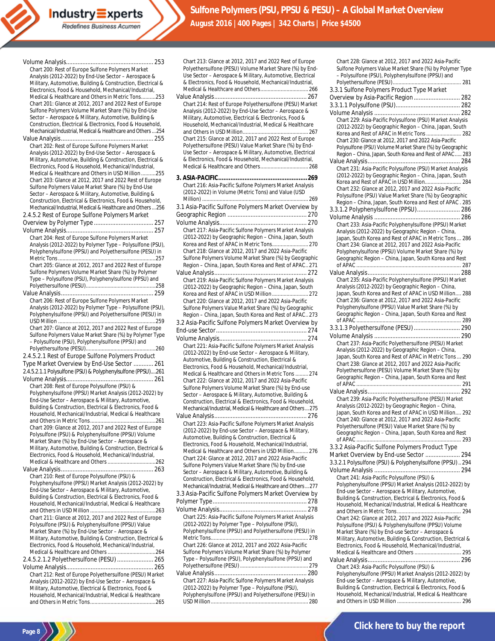Redefines Business Acumen

**Industry Experts** 

|                                                                                                                    | Chart 213: Glance at 2012, 2017 and 2022 Rest of Europe                                                         |
|--------------------------------------------------------------------------------------------------------------------|-----------------------------------------------------------------------------------------------------------------|
| Chart 200: Rest of Europe Sulfone Polymers Market                                                                  | Polyethersulfone (PESU) Volume Market Share (%) by End-                                                         |
| Analysis (2012-2022) by End-Use Sector – Aerospace &                                                               | Use Sector - Aerospace & Military, Automotive, Electrical                                                       |
| Military, Automotive, Building & Construction, Electrical &                                                        | & Electronics, Food & Household, Mechanical/Industrial,                                                         |
| Electronics, Food & Household, Mechanical/Industrial,                                                              |                                                                                                                 |
| Medical & Healthcare and Others in Metric Tons253                                                                  |                                                                                                                 |
| Chart 201: Glance at 2012, 2017 and 2022 Rest of Europe                                                            | Chart 214: Rest of Europe Polyethersulfone (PESU) Market                                                        |
| Sulfone Polymers Volume Market Share (%) by End-Use                                                                | Analysis (2012-2022) by End-Use Sector - Aerospace &                                                            |
| Sector - Aerospace & Military, Automotive, Building &                                                              | Military, Automotive, Electrical & Electronics, Food &                                                          |
| Construction, Electrical & Electronics, Food & Household,                                                          | Household, Mechanical/Industrial, Medical & Healthcare                                                          |
| Mechanical/Industrial, Medical & Healthcare and Others  254                                                        |                                                                                                                 |
|                                                                                                                    | Chart 215: Glance at 2012, 2017 and 2022 Rest of Europe                                                         |
| Chart 202: Rest of Europe Sulfone Polymers Market                                                                  | Polyethersulfone (PESU) Value Market Share (%) by End-                                                          |
| Analysis (2012-2022) by End-Use Sector - Aerospace &                                                               | Use Sector - Aerospace & Military, Automotive, Electrical                                                       |
| Military, Automotive, Building & Construction, Electrical &                                                        | & Electronics, Food & Household, Mechanical/Industrial,                                                         |
| Electronics, Food & Household, Mechanical/Industrial,                                                              |                                                                                                                 |
| Medical & Healthcare and Others in USD Million 255                                                                 |                                                                                                                 |
| Chart 203: Glance at 2012, 2017 and 2022 Rest of Europe                                                            | Chart 216: Asia-Pacific Sulfone Polymers Market Analysis                                                        |
| Sulfone Polymers Value Market Share (%) by End-Use                                                                 | (2012-2022) in Volume (Metric Tons) and Value (USD                                                              |
| Sector - Aerospace & Military, Automotive, Building &<br>Construction, Electrical & Electronics, Food & Household, |                                                                                                                 |
| Mechanical/Industrial, Medical & Healthcare and Others  256                                                        | 3.1 Asia-Pacific Sulfone Polymers Market Overview by                                                            |
| 2.4.5.2 Rest of Europe Sulfone Polymers Market                                                                     |                                                                                                                 |
|                                                                                                                    |                                                                                                                 |
|                                                                                                                    |                                                                                                                 |
|                                                                                                                    | Chart 217: Asia-Pacific Sulfone Polymers Market Analysis                                                        |
| Chart 204: Rest of Europe Sulfone Polymers Market                                                                  | (2012-2022) by Geographic Region – China, Japan, South                                                          |
| Analysis (2012-2022) by Polymer Type – Polysulfone (PSU),                                                          |                                                                                                                 |
| Polyphenylsulfone (PPSU) and Polyethersulfone (PESU) in                                                            | Chart 218: Glance at 2012, 2017 and 2022 Asia-Pacific<br>Sulfone Polymers Volume Market Share (%) by Geographic |
| Chart 205: Glance at 2012, 2017 and 2022 Rest of Europe                                                            | Region - China, Japan, South Korea and Rest of APAC271                                                          |
| Sulfone Polymers Volume Market Share (%) by Polymer                                                                |                                                                                                                 |
| Type – Polysulfone (PSU), Polyphenylsulfone (PPSU) and                                                             | Chart 219: Asia-Pacific Sulfone Polymers Market Analysis                                                        |
|                                                                                                                    | (2012-2022) by Geographic Region – China, Japan, South                                                          |
|                                                                                                                    |                                                                                                                 |
| Chart 206: Rest of Europe Sulfone Polymers Market                                                                  | Chart 220: Glance at 2012, 2017 and 2022 Asia-Pacific                                                           |
| Analysis (2012-2022) by Polymer Type - Polysulfone (PSU),                                                          | Sulfone Polymers Value Market Share (%) by Geographic                                                           |
| Polyphenylsulfone (PPSU) and Polyethersulfone (PESU) in                                                            | Region – China, Japan, South Korea and Rest of APAC 273                                                         |
|                                                                                                                    | 3.2 Asia-Pacific Sulfone Polymers Market Overview by                                                            |
| Chart 207: Glance at 2012, 2017 and 2022 Rest of Europe                                                            |                                                                                                                 |
| Sulfone Polymers Value Market Share (%) by Polymer Type                                                            |                                                                                                                 |
| - Polysulfone (PSU), Polyphenylsulfone (PPSU) and                                                                  |                                                                                                                 |
|                                                                                                                    | Chart 221: Asia-Pacific Sulfone Polymers Market Analysis                                                        |
| 2.4.5.2.1 Rest of Europe Sulfone Polymers Product                                                                  | (2012-2022) by End-use Sector – Aerospace & Military,<br>Automotive, Building & Construction, Electrical &      |
| Type Market Overview by End-Use Sector  261                                                                        | Electronics, Food & Household, Mechanical/Industrial,                                                           |
| 2.4.5.2.1.1 Polysulfone (PSU) & Polyphenylsulfone (PPSU)261                                                        | Medical & Healthcare and Others in Metric Tons  274                                                             |
|                                                                                                                    | Chart 222: Glance at 2012, 2017 and 2022 Asia-Pacific                                                           |
| Chart 208: Rest of Europe Polysulfone (PSU) &                                                                      | Sulfone Polymers Volume Market Share (%) by End-use                                                             |
| Polyphenylsulfone (PPSU) Market Analysis (2012-2022) by                                                            | Sector - Aerospace & Military, Automotive, Building &                                                           |
| End-Use Sector - Aerospace & Military, Automotive,                                                                 | Construction, Electrical & Electronics, Food & Household,                                                       |
| Building & Construction, Electrical & Electronics, Food &                                                          | Mechanical/Industrial, Medical & Healthcare and Others  275                                                     |
| Household, Mechanical/Industrial, Medical & Healthcare                                                             |                                                                                                                 |
| and Others in Metric Tons                                                                                          | Chart 223: Asia-Pacific Sulfone Polymers Market Analysis                                                        |
| Chart 209: Glance at 2012, 2017 and 2022 Rest of Europe                                                            | (2012-2022) by End-use Sector - Aerospace & Military,                                                           |
| Polysulfone (PSU) & Polyphenylsulfone (PPSU) Volume                                                                | Automotive, Building & Construction, Electrical &                                                               |
| Market Share (%) by End-Use Sector - Aerospace &                                                                   | Electronics, Food & Household, Mechanical/Industrial,                                                           |
| Military, Automotive, Building & Construction, Electrical &                                                        | Medical & Healthcare and Others in USD Million276                                                               |
| Electronics, Food & Household, Mechanical/Industrial,                                                              | Chart 224: Glance at 2012, 2017 and 2022 Asia-Pacific                                                           |
|                                                                                                                    | Sulfone Polymers Value Market Share (%) by End-use                                                              |
|                                                                                                                    | Sector - Aerospace & Military, Automotive, Building &                                                           |
| Chart 210: Rest of Europe Polysulfone (PSU) &<br>Polyphenylsulfone (PPSU) Market Analysis (2012-2022) by           | Construction, Electrical & Electronics, Food & Household,                                                       |
| End-Use Sector - Aerospace & Military, Automotive,                                                                 | Mechanical/Industrial, Medical & Healthcare and Others  277                                                     |
| Building & Construction, Electrical & Electronics, Food &                                                          | 3.3 Asia-Pacific Sulfone Polymers Market Overview by                                                            |
| Household, Mechanical/Industrial, Medical & Healthcare                                                             |                                                                                                                 |
|                                                                                                                    |                                                                                                                 |
| Chart 211: Glance at 2012, 2017 and 2022 Rest of Europe                                                            | Chart 225: Asia-Pacific Sulfone Polymers Market Analysis                                                        |
| Polysulfone (PSU) & Polyphenylsulfone (PPSU) Value                                                                 | (2012-2022) by Polymer Type - Polysulfone (PSU),                                                                |
| Market Share (%) by End-Use Sector - Aerospace &                                                                   | Polyphenylsulfone (PPSU) and Polyethersulfone (PESU) in                                                         |
| Military, Automotive, Building & Construction, Electrical &                                                        |                                                                                                                 |
| Electronics, Food & Household, Mechanical/Industrial,                                                              | Chart 226: Glance at 2012, 2017 and 2022 Asia-Pacific                                                           |
|                                                                                                                    | Sulfone Polymers Volume Market Share (%) by Polymer                                                             |
| 2.4.5.2.1.2 Polyethersulfone (PESU)  265                                                                           | Type - Polysulfone (PSU), Polyphenylsulfone (PPSU) and                                                          |
|                                                                                                                    |                                                                                                                 |
| Chart 212: Rest of Europe Polyethersulfone (PESU) Market                                                           |                                                                                                                 |
| Analysis (2012-2022) by End-Use Sector - Aerospace &                                                               | Chart 227: Asia-Pacific Sulfone Polymers Market Analysis                                                        |
| Military, Automotive, Electrical & Electronics, Food &                                                             | (2012-2022) by Polymer Type - Polysulfone (PSU),                                                                |

Household, Mechanical/Industrial, Medical & Healthcare and Others in Metric Tons.............................................265

**Page 8**

Chart 228: Glance at 2012, 2017 and 2022 Asia-Pacific Sulfone Polymers Value Market Share (%) by Polymer Type – Polysulfone (PSU), Polyphenylsulfone (PPSU) and Polyethersulfone (PESU)............................................... 281 3.3.1 Sulfone Polymers Product Type Market Overview by Asia-Pacific Region............................ 282 3.3.1.1 Polysulfone (PSU)....................................... 282 Volume Analysis .................................................... 282 Chart 229: Asia-Pacific Polysulfone (PSU) Market Analysis (2012-2022) by Geographic Region – China, Japan, South Korea and Rest of APAC in Metric Tons........................ 282 Chart 230: Glance at 2012, 2017 and 2022 Asia-Pacific Polysulfone (PSU) Volume Market Share (%) by Geographic Region – China, Japan, South Korea and Rest of APAC..... 283 Value Analysis........................................................ 284 Chart 231: Asia-Pacific Polysulfone (PSU) Market Analysis (2012-2022) by Geographic Region – China, Japan, South Korea and Rest of APAC in USD Million......................... 284 Chart 232: Glance at 2012, 2017 and 2022 Asia-Pacific Polysulfone (PSU) Value Market Share (%) by Geographic Region – China, Japan, South Korea and Rest of APAC . 285 3.3.1.2 Polyphenylsulfone (PPSU).......................... 286 Volume Analysis .................................................... 286 Chart 233: Asia-Pacific Polyphenylsulfone (PPSU) Market Analysis (2012-2022) by Geographic Region – China, Japan, South Korea and Rest of APAC in Metric Tons... 286 Chart 234: Glance at 2012, 2017 and 2022 Asia-Pacific Polyphenylsulfone (PPSU) Volume Market Share (%) by Geographic Region – China, Japan, South Korea and Rest of APAC ........................................................................ 287 Value Analysis........................................................ 288 Chart 235: Asia-Pacific Polyphenylsulfone (PPSU) Market Analysis (2012-2022) by Geographic Region – China, Japan, South Korea and Rest of APAC in USD Million.... 288 Chart 236: Glance at 2012, 2017 and 2022 Asia-Pacific Polyphenylsulfone (PPSU) Value Market Share (%) by Geographic Region – China, Japan, South Korea and Rest of APAC ........................................................................ 289 3.3.1.3 Polyethersulfone (PESU)............................ 290 Volume Analysis .................................................... 290 Chart 237: Asia-Pacific Polyethersulfone (PESU) Market Analysis (2012-2022) by Geographic Region – China, Japan, South Korea and Rest of APAC in Metric Tons... 290 Chart 238: Glance at 2012, 2017 and 2022 Asia-Pacific Polyethersulfone (PESU) Volume Market Share (%) by Geographic Region – China, Japan, South Korea and Rest of APAC ........................................................................ 291 Value Analysis........................................................ 292 Chart 239: Asia-Pacific Polyethersulfone (PESU) Market Analysis (2012-2022) by Geographic Region – China, Japan, South Korea and Rest of APAC in USD Million.... 292 Chart 240: Glance at 2012, 2017 and 2022 Asia-Pacific Polyethersulfone (PESU) Value Market Share (%) by Geographic Region – China, Japan, South Korea and Rest of APAC ........................................................................ 293 3.3.2 Asia-Pacific Sulfone Polymers Product Type Market Overview by End-use Sector ..................... 294 3.3.2.1 Polysulfone (PSU) & Polyphenylsulfone (PPSU).. 294 Volume Analysis .................................................... 294 Chart 241: Asia-Pacific Polysulfone (PSU) & Polyphenylsulfone (PPSU) Market Analysis (2012-2022) by End-use Sector – Aerospace & Military, Automotive, Building & Construction, Electrical & Electronics, Food & Household, Mechanical/Industrial, Medical & Healthcare and Others in Metric Tons............................................ 294 Chart 242: Glance at 2012, 2017 and 2022 Asia-Pacific Polysulfone (PSU) & Polyphenylsulfone (PPSU) Volume Market Share (%) by End-use Sector – Aerospace & Military, Automotive, Building & Construction, Electrical & Electronics, Food & Household, Mechanical/Industrial, Medical & Healthcare and Others ................................ 295 Value Analysis........................................................ 296 Chart 243: Asia-Pacific Polysulfone (PSU) & Polyphenylsulfone (PPSU) Market Analysis (2012-2022) by End-use Sector – Aerospace & Military, Automotive, Building & Construction, Electrical & Electronics, Food & Household, Mechanical/Industrial, Medical & Healthcare

and Others in USD Million ............................................ 296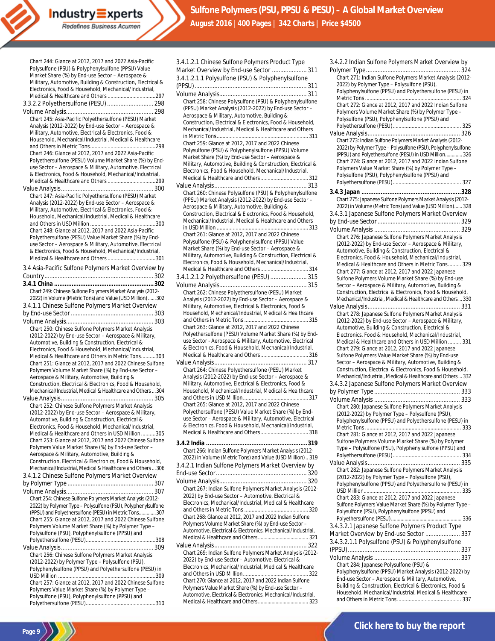Chart 244: Glance at 2012, 2017 and 2022 Asia-Pacific Polysulfone (PSU) & Polyphenylsulfone (PPSU) Value Market Share (%) by End-use Sector – Aerospace & Military, Automotive, Building & Construction, Electrical & Electronics, Food & Household, Mechanical/Industrial, Medical & Healthcare and Others .................................297 3.3.2.2 Polyethersulfone (PESU)............................ 298 Volume Analysis..................................................... 298 Chart 245: Asia-Pacific Polyethersulfone (PESU) Market Analysis (2012-2022) by End-use Sector – Aerospace & Military, Automotive, Electrical & Electronics, Food & Household, Mechanical/Industrial, Medical & Healthcare and Others in Metric Tons.............................................298 Chart 246: Glance at 2012, 2017 and 2022 Asia-Pacific Polyethersulfone (PESU) Volume Market Share (%) by Enduse Sector – Aerospace & Military, Automotive, Electrical & Electronics, Food & Household, Mechanical/Industrial, Medical & Healthcare and Others .................................299 Value Analysis........................................................ 300 Chart 247: Asia-Pacific Polyethersulfone (PESU) Market Analysis (2012-2022) by End-use Sector – Aerospace & Military, Automotive, Electrical & Electronics, Food & Household, Mechanical/Industrial, Medical & Healthcare and Others in USD Million .............................................300 Chart 248: Glance at 2012, 2017 and 2022 Asia-Pacific Polyethersulfone (PESU) Value Market Share (%) by Enduse Sector – Aerospace & Military, Automotive, Electrical & Electronics, Food & Household, Mechanical/Industrial, Medical & Healthcare and Others .................................301 3.4 Asia-Pacific Sulfone Polymers Market Overview by Country.................................................................. 302 **3.4.1 China .........................................................302** Chart 249: Chinese Sulfone Polymers Market Analysis (2012- 2022) in Volume (Metric Tons) and Value (USD Million)......302 3.4.1.1 Chinese Sulfone Polymers Market Overview by End-use Sector.................................................. 303 Volume Analysis..................................................... 303 Chart 250: Chinese Sulfone Polymers Market Analysis (2012-2022) by End-use Sector – Aerospace & Military, Automotive, Building & Construction, Electrical & Electronics, Food & Household, Mechanical/Industrial, Medical & Healthcare and Others in Metric Tons..........303 Chart 251: Glance at 2012, 2017 and 2022 Chinese Sulfone Polymers Volume Market Share (%) by End-use Sector – Aerospace & Military, Automotive, Building & Construction, Electrical & Electronics, Food & Household, Mechanical/Industrial, Medical & Healthcare and Others...304 Value Analysis........................................................ 305 Chart 252: Chinese Sulfone Polymers Market Analysis (2012-2022) by End-use Sector – Aerospace & Military, Automotive, Building & Construction, Electrical & Electronics, Food & Household, Mechanical/Industrial, Medical & Healthcare and Others in USD Million ..........305 Chart 253: Glance at 2012, 2017 and 2022 Chinese Sulfone Polymers Value Market Share (%) by End-use Sector – Aerospace & Military, Automotive, Building & Construction, Electrical & Electronics, Food & Household, Mechanical/Industrial, Medical & Healthcare and Others...306 3.4.1.2 Chinese Sulfone Polymers Market Overview by Polymer Type .................................................... 307 Volume Analysis..................................................... 307 Chart 254: Chinese Sulfone Polymers Market Analysis (2012- 2022) by Polymer Type – Polysulfone (PSU), Polyphenylsulfone (PPSU) and Polyethersulfone (PESU) in Metric Tons.............307 Chart 255: Glance at 2012, 2017 and 2022 Chinese Sulfone Polymers Volume Market Share (%) by Polymer Type – Polysulfone (PSU), Polyphenylsulfone (PPSU) and Polyethersulfone (PESU)................................................308 Value Analysis........................................................ 309 Chart 256: Chinese Sulfone Polymers Market Analysis (2012-2022) by Polymer Type – Polysulfone (PSU), Polyphenylsulfone (PPSU) and Polyethersulfone (PESU) in USD Million ...................................................................309 Chart 257: Glance at 2012, 2017 and 2022 Chinese Sulfone Polymers Value Market Share (%) by Polymer Type – Polysulfone (PSU), Polyphenylsulfone (PPSU) and Polyethersulfone (PESU)................................................310

**Page 9**

3.4.1.2.1 Chinese Sulfone Polymers Product Type Market Overview by End-use Sector ..................... 311 3.4.1.2.1.1 Polysulfone (PSU) & Polyphenylsulfone (PPSU).................................................................... 311 Volume Analysis..................................................... 311 Chart 258: Chinese Polysulfone (PSU) & Polyphenylsulfone (PPSU) Market Analysis (2012-2022) by End-use Sector – Aerospace & Military, Automotive, Building & Construction, Electrical & Electronics, Food & Household, Mechanical/Industrial, Medical & Healthcare and Others in Metric Tons............................................................... 311 Chart 259: Glance at 2012, 2017 and 2022 Chinese Polysulfone (PSU) & Polyphenylsulfone (PPSU) Volume Market Share (%) by End-use Sector – Aerospace & Military, Automotive, Building & Construction, Electrical & Electronics, Food & Household, Mechanical/Industrial, Medical & Healthcare and Others................................. 312 Value Analysis........................................................ 313 Chart 260: Chinese Polysulfone (PSU) & Polyphenylsulfone (PPSU) Market Analysis (2012-2022) by End-use Sector – Aerospace & Military, Automotive, Building & Construction, Electrical & Electronics, Food & Household, Mechanical/Industrial, Medical & Healthcare and Others in USD Million ............................................................... 313 Chart 261: Glance at 2012, 2017 and 2022 Chinese Polysulfone (PSU) & Polyphenylsulfone (PPSU) Value Market Share (%) by End-use Sector – Aerospace & Military, Automotive, Building & Construction, Electrical & Electronics, Food & Household, Mechanical/Industrial, Medical & Healthcare and Others................................. 314 3.4.1.2.1.2 Polyethersulfone (PESU) ...................... 315 Volume Analysis..................................................... 315 Chart 262: Chinese Polyethersulfone (PESU) Market Analysis (2012-2022) by End-use Sector – Aerospace & Military, Automotive, Electrical & Electronics, Food & Household, Mechanical/Industrial, Medical & Healthcare and Others in Metric Tons ................ Chart 263: Glance at 2012, 2017 and 2022 Chinese Polyethersulfone (PESU) Volume Market Share (%) by Enduse Sector - Aerospace & Military, Automotive, Electrical & Electronics, Food & Household, Mechanical/Industrial, Medical & Healthcare and Others................................. 316 Value Analysis........................................................ 317 Chart 264: Chinese Polyethersulfone (PESU) Market Analysis (2012-2022) by End-use Sector – Aerospace & Military, Automotive, Electrical & Electronics, Food & Household, Mechanical/Industrial, Medical & Healthcare and Others in USD Million............................................. 317 Chart 265: Glance at 2012, 2017 and 2022 Chinese Polyethersulfone (PESU) Value Market Share (%) by Enduse Sector – Aerospace & Military, Automotive, Electrical & Electronics, Food & Household, Mechanical/Industrial, Medical & Healthcare and Others................................. 318 **3.4.2 India ..........................................................319** Chart 266: Indian Sulfone Polymers Market Analysis (2012- 2022) in Volume (Metric Tons) and Value (USD Million).. 319 3.4.2.1 Indian Sulfone Polymers Market Overview by End-use Sector....................................................... 320 Volume Analysis..................................................... 320 Chart 267: Indian Sulfone Polymers Market Analysis (2012- 2022) by End-use Sector – Automotive, Electrical & Electronics, Mechanical/Industrial, Medical & Healthcare and Others in Metric Tons ................................ Chart 268: Glance at 2012, 2017 and 2022 Indian Sulfone Polymers Volume Market Share (%) by End-use Sector – Automotive, Electrical & Electronics, Mechanical/Industrial, Medical & Healthcare and Others..................................... 321 Value Analysis........................................................ 322 Chart 269: Indian Sulfone Polymers Market Analysis (2012- 2022) by End-use Sector – Automotive, Electrical & Electronics, Mechanical/Industrial, Medical & Healthcare and Others in USD Million............................................. 322 Chart 270: Glance at 2012, 2017 and 2022 Indian Sulfone Polymers Value Market Share (%) by End-use Sector – Automotive, Electrical & Electronics, Mechanical/Industrial, Medical & Healthcare and Others..................................... 323

| 3.4.2.2 Indian Sulfone Polymers Market Overview by           |
|--------------------------------------------------------------|
|                                                              |
| Chart 271: Indian Sulfone Polymers Market Analysis (2012-    |
| 2022) by Polymer Type - Polysulfone (PSU),                   |
| Polyphenylsulfone (PPSU) and Polyethersulfone (PESU) in      |
|                                                              |
|                                                              |
| Chart 272: Glance at 2012, 2017 and 2022 Indian Sulfone      |
| Polymers Volume Market Share (%) by Polymer Type -           |
| Polysulfone (PSU), Polyphenylsulfone (PPSU) and              |
|                                                              |
|                                                              |
|                                                              |
| Chart 273: Indian Sulfone Polymers Market Analysis (2012-    |
| 2022) by Polymer Type - Polysulfone (PSU), Polyphenylsulfone |
| (PPSU) and Polyethersulfone (PESU) in USD Million 326        |
| Chart 274: Glance at 2012, 2017 and 2022 Indian Sulfone      |
| Polymers Value Market Share (%) by Polymer Type -            |
| Polysulfone (PSU), Polyphenylsulfone (PPSU) and              |
|                                                              |
|                                                              |
|                                                              |
| Chart 275: Japanese Sulfone Polymers Market Analysis (2012-  |
| 2022) in Volume (Metric Tons) and Value (USD Million)  328   |
| 3.4.3.1 Japanese Sulfone Polymers Market Overview            |
|                                                              |
|                                                              |
|                                                              |
| Chart 276: Japanese Sulfone Polymers Market Analysis         |
| (2012-2022) by End-use Sector - Aerospace & Military,        |
| Automotive, Building & Construction, Electrical &            |
|                                                              |
| Electronics, Food & Household, Mechanical/Industrial,        |
| Medical & Healthcare and Others in Metric Tons 329           |
| Chart 277: Glance at 2012, 2017 and 2022 Japanese            |
| Sulfone Polymers Volume Market Share (%) by End-use          |
| Sector - Aerospace & Military, Automotive, Building &        |
| Construction, Electrical & Electronics, Food & Household,    |
| Mechanical/Industrial, Medical & Healthcare and Others 330   |
|                                                              |
|                                                              |
| Chart 278: Japanese Sulfone Polymers Market Analysis         |
| (2012-2022) by End-use Sector - Aerospace & Military,        |
| Automotive, Building & Construction, Electrical &            |
| Electronics, Food & Household, Mechanical/Industrial,        |
| Medical & Healthcare and Others in USD Million  331          |
| Chart 279: Glance at 2012, 2017 and 2022 Japanese            |
|                                                              |
| Sulfone Polymers Value Market Share (%) by End-use           |
| Sector - Aerospace & Military, Automotive, Building &        |
| Construction, Electrical & Electronics, Food & Household,    |
| Mechanical/Industrial, Medical & Healthcare and Others 332   |
| 3.4.3.2 Japanese Sulfone Polymers Market Overview            |
|                                                              |
|                                                              |
|                                                              |
| Chart 280: Japanese Sulfone Polymers Market Analysis         |
| (2012-2022) by Polymer Type - Polysulfone (PSU),             |
| Polyphenylsulfone (PPSU) and Polyethersulfone (PESU) in      |
|                                                              |
| Chart 281: Glance at 2012, 2017 and 2022 Japanese            |
| Sulfone Polymers Volume Market Share (%) by Polymer          |
| Type - Polysulfone (PSU), Polyphenylsulfone (PPSU) and       |
|                                                              |
|                                                              |
|                                                              |
| Chart 282: Japanese Sulfone Polymers Market Analysis         |
| (2012-2022) by Polymer Type - Polysulfone (PSU),             |
| Polyphenylsulfone (PPSU) and Polyethersulfone (PESU) in      |
|                                                              |
| Chart 283: Glance at 2012, 2017 and 2022 Japanese            |
| Sulfone Polymers Value Market Share (%) by Polymer Type -    |
| Polysulfone (PSU), Polyphenylsulfone (PPSU) and              |
|                                                              |
|                                                              |
| 3.4.3.2.1 Japanese Sulfone Polymers Product Type             |
| Market Overview by End-use Sector  337                       |
| 3.4.3.2.1.1 Polysulfone (PSU) & Polyphenylsulfone            |
|                                                              |
|                                                              |
|                                                              |
| Chart 284: Japanese Polysulfone (PSU) &                      |
| Polyphenylsulfone (PPSU) Market Analysis (2012-2022) by      |
| End-use Sector - Aerospace & Military, Automotive,           |
| Building & Construction, Electrical & Electronics, Food &    |
| Household, Mechanical/Industrial, Medical & Healthcare       |

and Others in Metric Tons.............................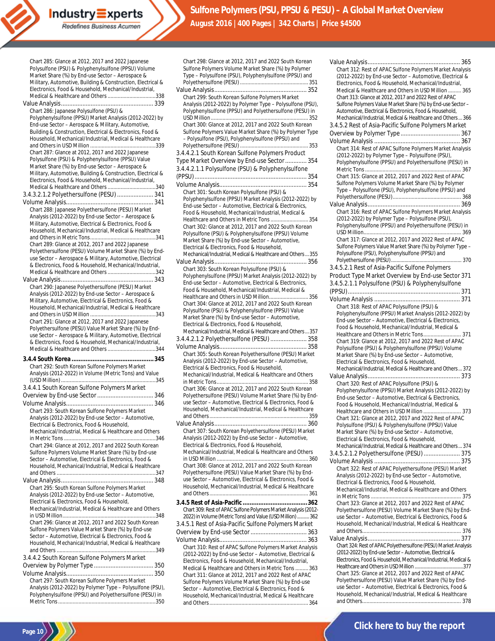Chart 285: Glance at 2012, 2017 and 2022 Japanese Polysulfone (PSU) & Polyphenylsulfone (PPSU) Volume Market Share (%) by End-use Sector – Aerospace & Military, Automotive, Building & Construction, Electrical & Electronics, Food & Household, Mechanical/Industrial, Medical & Healthcare and Others .................................338 Value Analysis........................................................ 339 Chart 286: Japanese Polysulfone (PSU) & Polyphenylsulfone (PPSU) Market Analysis (2012-2022) by End-use Sector – Aerospace & Military, Automotive, Building & Construction, Electrical & Electronics, Food & Household, Mechanical/Industrial, Medical & Healthcare and Others in USD Million .............................................339 Chart 287: Glance at 2012, 2017 and 2022 Japanese Polysulfone (PSU) & Polyphenylsulfone (PPSU) Value Market Share (%) by End-use Sector – Aerospace & Military, Automotive, Building & Construction, Electrical & Electronics, Food & Household, Mechanical/Industrial, Medical & Healthcare and Others .................................340 3.4.3.2.1.2 Polyethersulfone (PESU) ...................... 341 Volume Analysis..................................................... 341 Chart 288: Japanese Polyethersulfone (PESU) Market Analysis (2012-2022) by End-use Sector – Aerospace & Military, Automotive, Electrical & Electronics, Food & Household, Mechanical/Industrial, Medical & Healthcare and Others in Metric Tons.............................................341 Chart 289: Glance at 2012, 2017 and 2022 Japanese Polyethersulfone (PESU) Volume Market Share (%) by Enduse Sector – Aerospace & Military, Automotive, Electrical & Electronics, Food & Household, Mechanical/Industrial, Medical & Healthcare and Others .................................342 Value Analysis........................................................ 343 Chart 290: Japanese Polyethersulfone (PESU) Market Analysis (2012-2022) by End-use Sector – Aerospace & Military, Automotive, Electrical & Electronics, Food & Household, Mechanical/Industrial, Medical & Healthcare and Others in USD Million .............................................343 Chart 291: Glance at 2012, 2017 and 2022 Japanese Polyethersulfone (PESU) Value Market Share (%) by Enduse Sector – Aerospace & Military, Automotive, Electrical & Electronics, Food & Household, Mechanical/Industrial, Medical & Healthcare and Others .................................344 **3.4.4 South Korea ...............................................345** Chart 292: South Korean Sulfone Polymers Market Analysis (2012-2022) in Volume (Metric Tons) and Value (USD Million).................................................................345 3.4.4.1 South Korean Sulfone Polymers Market Overview by End-use Sector.................................. 346 Volume Analysis..................................................... 346 Chart 293: South Korean Sulfone Polymers Market Analysis (2012-2022) by End-use Sector – Automotive, Electrical & Electronics, Food & Household, Mechanical/Industrial, Medical & Healthcare and Others in Metric Tons ...............................................................346 Chart 294: Glance at 2012, 2017 and 2022 South Korean Sulfone Polymers Volume Market Share (%) by End-use Sector – Automotive, Electrical & Electronics, Food & Household, Mechanical/Industrial, Medical & Healthcare and Others ....................................................................347 Value Analysis........................................................ 348 Chart 295: South Korean Sulfone Polymers Market Analysis (2012-2022) by End-use Sector – Automotive, Electrical & Electronics, Food & Household, Mechanical/Industrial, Medical & Healthcare and Others in USD Million................................................................348 Chart 296: Glance at 2012, 2017 and 2022 South Korean Sulfone Polymers Value Market Share (%) by End-use Sector – Automotive, Electrical & Electronics, Food & Household, Mechanical/Industrial, Medical & Healthcare and Others ....................................................................349 3.4.4.2 South Korean Sulfone Polymers Market Overview by Polymer Type .................................... 350 Volume Analysis..................................................... 350 Chart 297: South Korean Sulfone Polymers Market

Analysis (2012-2022) by Polymer Type – Polysulfone (PSU), Polyphenylsulfone (PPSU) and Polyethersulfone (PESU) in Metric Tons...................................................................350

**Page 10**

| Sulfone Polymers Volume Market Share (%) by Polymer                                                              |
|------------------------------------------------------------------------------------------------------------------|
| Type - Polysulfone (PSU), Polyphenylsulfone (PPSU) and                                                           |
|                                                                                                                  |
| Chart 299: South Korean Sulfone Polymers Market                                                                  |
| Analysis (2012-2022) by Polymer Type - Polysulfone (PSU),                                                        |
| Polyphenylsulfone (PPSU) and Polyethersulfone (PESU) in                                                          |
| Chart 300: Glance at 2012, 2017 and 2022 South Korean                                                            |
| Sulfone Polymers Value Market Share (%) by Polymer Type                                                          |
| - Polysulfone (PSU), Polyphenylsulfone (PPSU) and                                                                |
|                                                                                                                  |
| 3.4.4.2.1 South Korean Sulfone Polymers Product<br>Type Market Overview by End-use Sector  354                   |
| 3.4.4.2.1.1 Polysulfone (PSU) & Polyphenylsulfone                                                                |
|                                                                                                                  |
|                                                                                                                  |
| Chart 301: South Korean Polysulfone (PSU) &                                                                      |
| Polyphenylsulfone (PPSU) Market Analysis (2012-2022) by                                                          |
| End-use Sector - Automotive, Electrical & Electronics,<br>Food & Household, Mechanical/Industrial, Medical &     |
| Healthcare and Others in Metric Tons  354                                                                        |
| Chart 302: Glance at 2012, 2017 and 2022 South Korean                                                            |
| Polysulfone (PSU) & Polyphenylsulfone (PPSU) Volume<br>Market Share (%) by End-use Sector - Automotive,          |
| Electrical & Electronics, Food & Household,                                                                      |
| Mechanical/Industrial, Medical & Healthcare and Others  355                                                      |
|                                                                                                                  |
| Chart 303: South Korean Polysulfone (PSU) &<br>Polyphenylsulfone (PPSU) Market Analysis (2012-2022) by           |
| End-use Sector - Automotive, Electrical & Electronics,                                                           |
| Food & Household, Mechanical/Industrial, Medical &                                                               |
| Healthcare and Others in USD Million 356                                                                         |
| Chart 304: Glance at 2012, 2017 and 2022 South Korean<br>Polysulfone (PSU) & Polyphenylsulfone (PPSU) Value      |
| Market Share (%) by End-use Sector - Automotive,                                                                 |
| Electrical & Electronics, Food & Household,                                                                      |
| Mechanical/Industrial, Medical & Healthcare and Others  357                                                      |
|                                                                                                                  |
| 3.4.4.2.1.2 Polyethersulfone (PESU)  358                                                                         |
|                                                                                                                  |
| Chart 305: South Korean Polyethersulfone (PESU) Market<br>Analysis (2012-2022) by End-use Sector - Automotive,   |
| Electrical & Electronics, Food & Household,                                                                      |
| Mechanical/Industrial, Medical & Healthcare and Others                                                           |
|                                                                                                                  |
| Chart 306: Glance at 2012, 2017 and 2022 South Korean<br>Polyethersulfone (PESU) Volume Market Share (%) by End- |
| use Sector - Automotive, Electrical & Electronics, Food &                                                        |
| Household, Mechanical/Industrial, Medical & Healthcare                                                           |
|                                                                                                                  |
| Chart 307: South Korean Polyethersulfone (PESU) Market                                                           |
| Analysis (2012-2022) by End-use Sector - Automotive,                                                             |
| Electrical & Electronics, Food & Household,                                                                      |
| Mechanical/Industrial, Medical & Healthcare and Others                                                           |
| Chart 308: Glance at 2012, 2017 and 2022 South Korean                                                            |
| Polyethersulfone (PESU) Value Market Share (%) by End-                                                           |
| use Sector - Automotive, Electrical & Electronics, Food &                                                        |
| Household, Mechanical/Industrial, Medical & Healthcare                                                           |
|                                                                                                                  |
| Chart 309: Rest of APAC Sulfone Polymers Market Analysis (2012-                                                  |
| 2022) in Volume (Metric Tons) and Value (USD Million)  362                                                       |
| 3.4.5.1 Rest of Asia-Pacific Sulfone Polymers Market                                                             |
|                                                                                                                  |
| Chart 310: Rest of APAC Sulfone Polymers Market Analysis                                                         |
| (2012-2022) by End-use Sector - Automotive, Electrical &                                                         |
| Electronics, Food & Household, Mechanical/Industrial,                                                            |
| Medical & Healthcare and Others in Metric Tons  363<br>Chart 311: Glance at 2012, 2017 and 2022 Rest of APAC     |

Sector – Automotive, Electrical & Electronics, Food & Household, Mechanical/Industrial, Medical & Healthcare and Others.................................................................... 364

Chart 298: Glance at 2012, 2017 and 2022 South Korean

| Chart 312: Rest of APAC Sulfone Polymers Market Analysis                                                               |  |
|------------------------------------------------------------------------------------------------------------------------|--|
| (2012-2022) by End-use Sector - Automotive, Electrical &                                                               |  |
| Electronics, Food & Household, Mechanical/Industrial,                                                                  |  |
| Medical & Healthcare and Others in USD Million  365                                                                    |  |
| Chart 313: Glance at 2012, 2017 and 2022 Rest of APAC                                                                  |  |
|                                                                                                                        |  |
| Sulfone Polymers Value Market Share (%) by End-use Sector -<br>Automotive, Electrical & Electronics, Food & Household, |  |
|                                                                                                                        |  |
| Mechanical/Industrial, Medical & Healthcare and Others 366                                                             |  |
| 3.4.5.2 Rest of Asia-Pacific Sulfone Polymers Market                                                                   |  |
|                                                                                                                        |  |
|                                                                                                                        |  |
| Chart 314: Rest of APAC Sulfone Polymers Market Analysis                                                               |  |
| (2012-2022) by Polymer Type - Polysulfone (PSU),                                                                       |  |
| Polyphenylsulfone (PPSU) and Polyethersulfone (PESU) in                                                                |  |
|                                                                                                                        |  |
| Chart 315: Glance at 2012, 2017 and 2022 Rest of APAC                                                                  |  |
| Sulfone Polymers Volume Market Share (%) by Polymer                                                                    |  |
|                                                                                                                        |  |
| Type - Polysulfone (PSU), Polyphenylsulfone (PPSU) and                                                                 |  |
|                                                                                                                        |  |
|                                                                                                                        |  |
| Chart 316: Rest of APAC Sulfone Polymers Market Analysis                                                               |  |
| (2012-2022) by Polymer Type - Polysulfone (PSU),                                                                       |  |
| Polyphenylsulfone (PPSU) and Polyethersulfone (PESU) in                                                                |  |
|                                                                                                                        |  |
| Chart 317: Glance at 2012, 2017 and 2022 Rest of APAC                                                                  |  |
| Sulfone Polymers Value Market Share (%) by Polymer Type -                                                              |  |
| Polysulfone (PSU), Polyphenylsulfone (PPSU) and                                                                        |  |
|                                                                                                                        |  |
| 3.4.5.2.1 Rest of Asia-Pacific Sulfone Polymers                                                                        |  |
| Product Type Market Overview by End-use Sector 371                                                                     |  |
|                                                                                                                        |  |
| 3.4.5.2.1.1 Polysulfone (PSU) & Polyphenylsulfone                                                                      |  |
|                                                                                                                        |  |
|                                                                                                                        |  |
| Chart 318: Rest of APAC Polysulfone (PSU) &                                                                            |  |
| Polyphenylsulfone (PPSU) Market Analysis (2012-2022) by                                                                |  |
| End-use Sector - Automotive, Electrical & Electronics,                                                                 |  |
| Food & Household, Mechanical/Industrial, Medical &                                                                     |  |
| Healthcare and Others in Metric Tons 371                                                                               |  |
|                                                                                                                        |  |
| Chart 319: Glance at 2012, 2017 and 2022 Rest of APAC                                                                  |  |
| Polysulfone (PSU) & Polyphenylsulfone (PPSU) Volume                                                                    |  |
| Market Share (%) by End-use Sector - Automotive,                                                                       |  |
| Electrical & Electronics, Food & Household,                                                                            |  |
| Mechanical/Industrial, Medical & Healthcare and Others 372                                                             |  |
|                                                                                                                        |  |
|                                                                                                                        |  |
| Chart 320: Rest of APAC Polysulfone (PSU) &                                                                            |  |
|                                                                                                                        |  |
| Polyphenylsulfone (PPSU) Market Analysis (2012-2022) by                                                                |  |
| End-use Sector - Automotive, Electrical & Electronics,                                                                 |  |
| Food & Household, Mechanical/Industrial, Medical &                                                                     |  |
| Healthcare and Others in USD Million  373                                                                              |  |
| Chart 321: Glance at 2012, 2017 and 2022 Rest of APAC                                                                  |  |
| Polysulfone (PSU) & Polyphenylsulfone (PPSU) Value                                                                     |  |
| Market Share (%) by End-use Sector - Automotive,                                                                       |  |
| Electrical & Electronics, Food & Household,                                                                            |  |
| Mechanical/Industrial, Medical & Healthcare and Others 374                                                             |  |
| 3.4.5.2.1.2 Polyethersulfone (PESU)  375                                                                               |  |
|                                                                                                                        |  |
| Chart 322: Rest of APAC Polyethersulfone (PESU) Market                                                                 |  |
|                                                                                                                        |  |
| Analysis (2012-2022) by End-use Sector - Automotive,                                                                   |  |
| Electrical & Electronics, Food & Household,                                                                            |  |
| Mechanical/Industrial, Medical & Healthcare and Others                                                                 |  |
|                                                                                                                        |  |
| Chart 323: Glance at 2012, 2017 and 2022 Rest of APAC                                                                  |  |
| Polyethersulfone (PESU) Volume Market Share (%) by End-                                                                |  |
| use Sector - Automotive, Electrical & Electronics, Food &                                                              |  |
| Household, Mechanical/Industrial, Medical & Healthcare                                                                 |  |
|                                                                                                                        |  |
|                                                                                                                        |  |
| Chart 324: Rest of APAC Polyethersulfone (PESU) Market Analysis                                                        |  |
| (2012-2022) by End-use Sector - Automotive, Electrical &                                                               |  |
| Electronics, Food & Household, Mechanical/Industrial, Medical &                                                        |  |
|                                                                                                                        |  |
| Chart 325: Glance at 2012, 2017 and 2022 Rest of APAC                                                                  |  |
| Polyethersulfone (PESU) Value Market Share (%) by End-                                                                 |  |
|                                                                                                                        |  |
| use Sector - Automotive, Electrical & Electronics, Food &<br>Household, Mechanical/Industrial, Medical & Healthcare    |  |